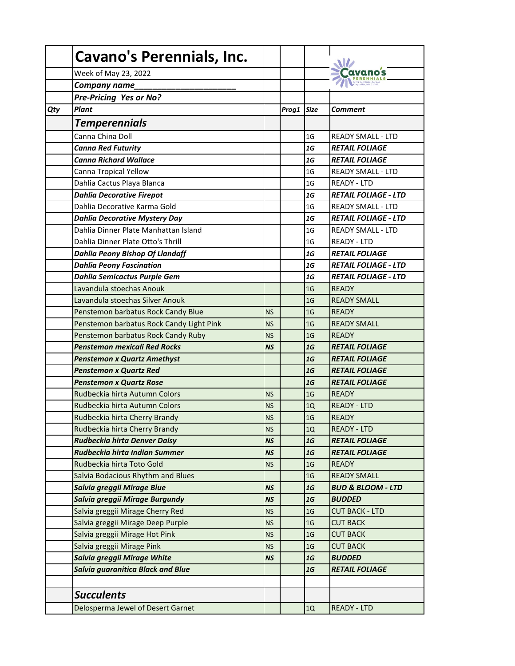| Week of May 23, 2022<br>Company name<br><b>Pre-Pricing Yes or No?</b><br><b>Plant</b><br>Qty<br>Prog1<br><b>Size</b><br><b>Comment</b><br><b>Temperennials</b><br>Canna China Doll<br><b>READY SMALL - LTD</b><br>1G<br><b>Canna Red Futurity</b><br>1G<br><b>RETAIL FOLIAGE</b><br><b>Canna Richard Wallace</b><br><b>RETAIL FOLIAGE</b><br>1G<br>Canna Tropical Yellow<br>1 <sub>G</sub><br><b>READY SMALL - LTD</b><br>Dahlia Cactus Playa Blanca<br>1 <sub>G</sub><br><b>READY - LTD</b><br><b>Dahlia Decorative Firepot</b><br><b>RETAIL FOLIAGE - LTD</b><br>1G<br>Dahlia Decorative Karma Gold<br>1 <sub>G</sub><br><b>READY SMALL - LTD</b><br><b>RETAIL FOLIAGE - LTD</b><br><b>Dahlia Decorative Mystery Day</b><br>1G<br>Dahlia Dinner Plate Manhattan Island<br>1 <sub>G</sub><br><b>READY SMALL - LTD</b><br>Dahlia Dinner Plate Otto's Thrill<br>1 <sub>G</sub><br><b>READY - LTD</b><br><b>Dahlia Peony Bishop Of Llandaff</b><br><b>RETAIL FOLIAGE</b><br>1G<br><b>Dahlia Peony Fascination</b><br>1G<br><b>RETAIL FOLIAGE - LTD</b><br>Dahlia Semicactus Purple Gem<br>1G<br><b>RETAIL FOLIAGE - LTD</b><br>Lavandula stoechas Anouk<br><b>READY</b><br>1 <sub>G</sub><br>Lavandula stoechas Silver Anouk<br><b>READY SMALL</b><br>1 <sub>G</sub><br>1 <sub>G</sub><br>Penstemon barbatus Rock Candy Blue<br><b>READY</b><br><b>NS</b><br>Penstemon barbatus Rock Candy Light Pink<br>READY SMALL<br><b>NS</b><br>1 <sub>G</sub><br>Penstemon barbatus Rock Candy Ruby<br>1 <sub>G</sub><br><b>READY</b><br><b>NS</b><br><b>Penstemon mexicali Red Rocks</b><br>1G<br><b>RETAIL FOLIAGE</b><br><b>NS</b><br><b>RETAIL FOLIAGE</b><br><b>Penstemon x Quartz Amethyst</b><br>1G<br><b>Penstemon x Quartz Red</b><br>1G<br><b>RETAIL FOLIAGE</b><br><b>Penstemon x Quartz Rose</b><br>1G<br><b>RETAIL FOLIAGE</b><br><b>READY</b><br>Rudbeckia hirta Autumn Colors<br>1 <sub>G</sub><br><b>NS</b><br>Rudbeckia hirta Autumn Colors<br><b>READY - LTD</b><br><b>NS</b><br>1Q<br>1 <sub>G</sub><br><b>READY</b><br>Rudbeckia hirta Cherry Brandy<br><b>NS</b><br>Rudbeckia hirta Cherry Brandy<br><b>READY - LTD</b><br><b>NS</b><br>1Q<br>Rudbeckia hirta Denver Daisy<br>1G<br><b>NS</b><br><b>RETAIL FOLIAGE</b><br>Rudbeckia hirta Indian Summer<br>1G<br><b>RETAIL FOLIAGE</b><br><b>NS</b><br>Rudbeckia hirta Toto Gold<br><b>READY</b><br>1 <sub>G</sub><br><b>NS</b><br>Salvia Bodacious Rhythm and Blues<br>1 <sub>G</sub><br><b>READY SMALL</b><br>Salvia greggii Mirage Blue<br>1G<br><b>BUD &amp; BLOOM - LTD</b><br><b>NS</b><br>Salvia greggii Mirage Burgundy<br><b>BUDDED</b><br><b>NS</b><br>1G<br>Salvia greggii Mirage Cherry Red<br><b>CUT BACK - LTD</b><br><b>NS</b><br>1 <sub>G</sub><br>Salvia greggii Mirage Deep Purple<br><b>CUT BACK</b><br><b>NS</b><br>1 <sub>G</sub><br>Salvia greggii Mirage Hot Pink<br><b>CUT BACK</b><br>1 <sub>G</sub><br><b>NS</b><br>Salvia greggii Mirage Pink<br><b>CUT BACK</b><br><b>NS</b><br>1 <sub>G</sub><br>Salvia greggii Mirage White<br>1G<br><b>BUDDED</b><br><b>NS</b><br><b>Salvia guaranitica Black and Blue</b><br>1G<br><b>RETAIL FOLIAGE</b><br><b>Succulents</b><br>Delosperma Jewel of Desert Garnet<br><b>READY - LTD</b><br>1Q | <b>Cavano's Perennials, Inc.</b> |  |  |
|-------------------------------------------------------------------------------------------------------------------------------------------------------------------------------------------------------------------------------------------------------------------------------------------------------------------------------------------------------------------------------------------------------------------------------------------------------------------------------------------------------------------------------------------------------------------------------------------------------------------------------------------------------------------------------------------------------------------------------------------------------------------------------------------------------------------------------------------------------------------------------------------------------------------------------------------------------------------------------------------------------------------------------------------------------------------------------------------------------------------------------------------------------------------------------------------------------------------------------------------------------------------------------------------------------------------------------------------------------------------------------------------------------------------------------------------------------------------------------------------------------------------------------------------------------------------------------------------------------------------------------------------------------------------------------------------------------------------------------------------------------------------------------------------------------------------------------------------------------------------------------------------------------------------------------------------------------------------------------------------------------------------------------------------------------------------------------------------------------------------------------------------------------------------------------------------------------------------------------------------------------------------------------------------------------------------------------------------------------------------------------------------------------------------------------------------------------------------------------------------------------------------------------------------------------------------------------------------------------------------------------------------------------------------------------------------------------------------------------------------------------------------------------------------------------------------------------------------------------------------------------------------------------------------------------------------------------------------------------------------------------------------------------------------------------------------------------------------------------------------------------------------------------------------------------------------------------------------------|----------------------------------|--|--|
|                                                                                                                                                                                                                                                                                                                                                                                                                                                                                                                                                                                                                                                                                                                                                                                                                                                                                                                                                                                                                                                                                                                                                                                                                                                                                                                                                                                                                                                                                                                                                                                                                                                                                                                                                                                                                                                                                                                                                                                                                                                                                                                                                                                                                                                                                                                                                                                                                                                                                                                                                                                                                                                                                                                                                                                                                                                                                                                                                                                                                                                                                                                                                                                                                         |                                  |  |  |
|                                                                                                                                                                                                                                                                                                                                                                                                                                                                                                                                                                                                                                                                                                                                                                                                                                                                                                                                                                                                                                                                                                                                                                                                                                                                                                                                                                                                                                                                                                                                                                                                                                                                                                                                                                                                                                                                                                                                                                                                                                                                                                                                                                                                                                                                                                                                                                                                                                                                                                                                                                                                                                                                                                                                                                                                                                                                                                                                                                                                                                                                                                                                                                                                                         |                                  |  |  |
|                                                                                                                                                                                                                                                                                                                                                                                                                                                                                                                                                                                                                                                                                                                                                                                                                                                                                                                                                                                                                                                                                                                                                                                                                                                                                                                                                                                                                                                                                                                                                                                                                                                                                                                                                                                                                                                                                                                                                                                                                                                                                                                                                                                                                                                                                                                                                                                                                                                                                                                                                                                                                                                                                                                                                                                                                                                                                                                                                                                                                                                                                                                                                                                                                         |                                  |  |  |
|                                                                                                                                                                                                                                                                                                                                                                                                                                                                                                                                                                                                                                                                                                                                                                                                                                                                                                                                                                                                                                                                                                                                                                                                                                                                                                                                                                                                                                                                                                                                                                                                                                                                                                                                                                                                                                                                                                                                                                                                                                                                                                                                                                                                                                                                                                                                                                                                                                                                                                                                                                                                                                                                                                                                                                                                                                                                                                                                                                                                                                                                                                                                                                                                                         |                                  |  |  |
|                                                                                                                                                                                                                                                                                                                                                                                                                                                                                                                                                                                                                                                                                                                                                                                                                                                                                                                                                                                                                                                                                                                                                                                                                                                                                                                                                                                                                                                                                                                                                                                                                                                                                                                                                                                                                                                                                                                                                                                                                                                                                                                                                                                                                                                                                                                                                                                                                                                                                                                                                                                                                                                                                                                                                                                                                                                                                                                                                                                                                                                                                                                                                                                                                         |                                  |  |  |
|                                                                                                                                                                                                                                                                                                                                                                                                                                                                                                                                                                                                                                                                                                                                                                                                                                                                                                                                                                                                                                                                                                                                                                                                                                                                                                                                                                                                                                                                                                                                                                                                                                                                                                                                                                                                                                                                                                                                                                                                                                                                                                                                                                                                                                                                                                                                                                                                                                                                                                                                                                                                                                                                                                                                                                                                                                                                                                                                                                                                                                                                                                                                                                                                                         |                                  |  |  |
|                                                                                                                                                                                                                                                                                                                                                                                                                                                                                                                                                                                                                                                                                                                                                                                                                                                                                                                                                                                                                                                                                                                                                                                                                                                                                                                                                                                                                                                                                                                                                                                                                                                                                                                                                                                                                                                                                                                                                                                                                                                                                                                                                                                                                                                                                                                                                                                                                                                                                                                                                                                                                                                                                                                                                                                                                                                                                                                                                                                                                                                                                                                                                                                                                         |                                  |  |  |
|                                                                                                                                                                                                                                                                                                                                                                                                                                                                                                                                                                                                                                                                                                                                                                                                                                                                                                                                                                                                                                                                                                                                                                                                                                                                                                                                                                                                                                                                                                                                                                                                                                                                                                                                                                                                                                                                                                                                                                                                                                                                                                                                                                                                                                                                                                                                                                                                                                                                                                                                                                                                                                                                                                                                                                                                                                                                                                                                                                                                                                                                                                                                                                                                                         |                                  |  |  |
|                                                                                                                                                                                                                                                                                                                                                                                                                                                                                                                                                                                                                                                                                                                                                                                                                                                                                                                                                                                                                                                                                                                                                                                                                                                                                                                                                                                                                                                                                                                                                                                                                                                                                                                                                                                                                                                                                                                                                                                                                                                                                                                                                                                                                                                                                                                                                                                                                                                                                                                                                                                                                                                                                                                                                                                                                                                                                                                                                                                                                                                                                                                                                                                                                         |                                  |  |  |
|                                                                                                                                                                                                                                                                                                                                                                                                                                                                                                                                                                                                                                                                                                                                                                                                                                                                                                                                                                                                                                                                                                                                                                                                                                                                                                                                                                                                                                                                                                                                                                                                                                                                                                                                                                                                                                                                                                                                                                                                                                                                                                                                                                                                                                                                                                                                                                                                                                                                                                                                                                                                                                                                                                                                                                                                                                                                                                                                                                                                                                                                                                                                                                                                                         |                                  |  |  |
|                                                                                                                                                                                                                                                                                                                                                                                                                                                                                                                                                                                                                                                                                                                                                                                                                                                                                                                                                                                                                                                                                                                                                                                                                                                                                                                                                                                                                                                                                                                                                                                                                                                                                                                                                                                                                                                                                                                                                                                                                                                                                                                                                                                                                                                                                                                                                                                                                                                                                                                                                                                                                                                                                                                                                                                                                                                                                                                                                                                                                                                                                                                                                                                                                         |                                  |  |  |
|                                                                                                                                                                                                                                                                                                                                                                                                                                                                                                                                                                                                                                                                                                                                                                                                                                                                                                                                                                                                                                                                                                                                                                                                                                                                                                                                                                                                                                                                                                                                                                                                                                                                                                                                                                                                                                                                                                                                                                                                                                                                                                                                                                                                                                                                                                                                                                                                                                                                                                                                                                                                                                                                                                                                                                                                                                                                                                                                                                                                                                                                                                                                                                                                                         |                                  |  |  |
|                                                                                                                                                                                                                                                                                                                                                                                                                                                                                                                                                                                                                                                                                                                                                                                                                                                                                                                                                                                                                                                                                                                                                                                                                                                                                                                                                                                                                                                                                                                                                                                                                                                                                                                                                                                                                                                                                                                                                                                                                                                                                                                                                                                                                                                                                                                                                                                                                                                                                                                                                                                                                                                                                                                                                                                                                                                                                                                                                                                                                                                                                                                                                                                                                         |                                  |  |  |
|                                                                                                                                                                                                                                                                                                                                                                                                                                                                                                                                                                                                                                                                                                                                                                                                                                                                                                                                                                                                                                                                                                                                                                                                                                                                                                                                                                                                                                                                                                                                                                                                                                                                                                                                                                                                                                                                                                                                                                                                                                                                                                                                                                                                                                                                                                                                                                                                                                                                                                                                                                                                                                                                                                                                                                                                                                                                                                                                                                                                                                                                                                                                                                                                                         |                                  |  |  |
|                                                                                                                                                                                                                                                                                                                                                                                                                                                                                                                                                                                                                                                                                                                                                                                                                                                                                                                                                                                                                                                                                                                                                                                                                                                                                                                                                                                                                                                                                                                                                                                                                                                                                                                                                                                                                                                                                                                                                                                                                                                                                                                                                                                                                                                                                                                                                                                                                                                                                                                                                                                                                                                                                                                                                                                                                                                                                                                                                                                                                                                                                                                                                                                                                         |                                  |  |  |
|                                                                                                                                                                                                                                                                                                                                                                                                                                                                                                                                                                                                                                                                                                                                                                                                                                                                                                                                                                                                                                                                                                                                                                                                                                                                                                                                                                                                                                                                                                                                                                                                                                                                                                                                                                                                                                                                                                                                                                                                                                                                                                                                                                                                                                                                                                                                                                                                                                                                                                                                                                                                                                                                                                                                                                                                                                                                                                                                                                                                                                                                                                                                                                                                                         |                                  |  |  |
|                                                                                                                                                                                                                                                                                                                                                                                                                                                                                                                                                                                                                                                                                                                                                                                                                                                                                                                                                                                                                                                                                                                                                                                                                                                                                                                                                                                                                                                                                                                                                                                                                                                                                                                                                                                                                                                                                                                                                                                                                                                                                                                                                                                                                                                                                                                                                                                                                                                                                                                                                                                                                                                                                                                                                                                                                                                                                                                                                                                                                                                                                                                                                                                                                         |                                  |  |  |
|                                                                                                                                                                                                                                                                                                                                                                                                                                                                                                                                                                                                                                                                                                                                                                                                                                                                                                                                                                                                                                                                                                                                                                                                                                                                                                                                                                                                                                                                                                                                                                                                                                                                                                                                                                                                                                                                                                                                                                                                                                                                                                                                                                                                                                                                                                                                                                                                                                                                                                                                                                                                                                                                                                                                                                                                                                                                                                                                                                                                                                                                                                                                                                                                                         |                                  |  |  |
|                                                                                                                                                                                                                                                                                                                                                                                                                                                                                                                                                                                                                                                                                                                                                                                                                                                                                                                                                                                                                                                                                                                                                                                                                                                                                                                                                                                                                                                                                                                                                                                                                                                                                                                                                                                                                                                                                                                                                                                                                                                                                                                                                                                                                                                                                                                                                                                                                                                                                                                                                                                                                                                                                                                                                                                                                                                                                                                                                                                                                                                                                                                                                                                                                         |                                  |  |  |
|                                                                                                                                                                                                                                                                                                                                                                                                                                                                                                                                                                                                                                                                                                                                                                                                                                                                                                                                                                                                                                                                                                                                                                                                                                                                                                                                                                                                                                                                                                                                                                                                                                                                                                                                                                                                                                                                                                                                                                                                                                                                                                                                                                                                                                                                                                                                                                                                                                                                                                                                                                                                                                                                                                                                                                                                                                                                                                                                                                                                                                                                                                                                                                                                                         |                                  |  |  |
|                                                                                                                                                                                                                                                                                                                                                                                                                                                                                                                                                                                                                                                                                                                                                                                                                                                                                                                                                                                                                                                                                                                                                                                                                                                                                                                                                                                                                                                                                                                                                                                                                                                                                                                                                                                                                                                                                                                                                                                                                                                                                                                                                                                                                                                                                                                                                                                                                                                                                                                                                                                                                                                                                                                                                                                                                                                                                                                                                                                                                                                                                                                                                                                                                         |                                  |  |  |
|                                                                                                                                                                                                                                                                                                                                                                                                                                                                                                                                                                                                                                                                                                                                                                                                                                                                                                                                                                                                                                                                                                                                                                                                                                                                                                                                                                                                                                                                                                                                                                                                                                                                                                                                                                                                                                                                                                                                                                                                                                                                                                                                                                                                                                                                                                                                                                                                                                                                                                                                                                                                                                                                                                                                                                                                                                                                                                                                                                                                                                                                                                                                                                                                                         |                                  |  |  |
|                                                                                                                                                                                                                                                                                                                                                                                                                                                                                                                                                                                                                                                                                                                                                                                                                                                                                                                                                                                                                                                                                                                                                                                                                                                                                                                                                                                                                                                                                                                                                                                                                                                                                                                                                                                                                                                                                                                                                                                                                                                                                                                                                                                                                                                                                                                                                                                                                                                                                                                                                                                                                                                                                                                                                                                                                                                                                                                                                                                                                                                                                                                                                                                                                         |                                  |  |  |
|                                                                                                                                                                                                                                                                                                                                                                                                                                                                                                                                                                                                                                                                                                                                                                                                                                                                                                                                                                                                                                                                                                                                                                                                                                                                                                                                                                                                                                                                                                                                                                                                                                                                                                                                                                                                                                                                                                                                                                                                                                                                                                                                                                                                                                                                                                                                                                                                                                                                                                                                                                                                                                                                                                                                                                                                                                                                                                                                                                                                                                                                                                                                                                                                                         |                                  |  |  |
|                                                                                                                                                                                                                                                                                                                                                                                                                                                                                                                                                                                                                                                                                                                                                                                                                                                                                                                                                                                                                                                                                                                                                                                                                                                                                                                                                                                                                                                                                                                                                                                                                                                                                                                                                                                                                                                                                                                                                                                                                                                                                                                                                                                                                                                                                                                                                                                                                                                                                                                                                                                                                                                                                                                                                                                                                                                                                                                                                                                                                                                                                                                                                                                                                         |                                  |  |  |
|                                                                                                                                                                                                                                                                                                                                                                                                                                                                                                                                                                                                                                                                                                                                                                                                                                                                                                                                                                                                                                                                                                                                                                                                                                                                                                                                                                                                                                                                                                                                                                                                                                                                                                                                                                                                                                                                                                                                                                                                                                                                                                                                                                                                                                                                                                                                                                                                                                                                                                                                                                                                                                                                                                                                                                                                                                                                                                                                                                                                                                                                                                                                                                                                                         |                                  |  |  |
|                                                                                                                                                                                                                                                                                                                                                                                                                                                                                                                                                                                                                                                                                                                                                                                                                                                                                                                                                                                                                                                                                                                                                                                                                                                                                                                                                                                                                                                                                                                                                                                                                                                                                                                                                                                                                                                                                                                                                                                                                                                                                                                                                                                                                                                                                                                                                                                                                                                                                                                                                                                                                                                                                                                                                                                                                                                                                                                                                                                                                                                                                                                                                                                                                         |                                  |  |  |
|                                                                                                                                                                                                                                                                                                                                                                                                                                                                                                                                                                                                                                                                                                                                                                                                                                                                                                                                                                                                                                                                                                                                                                                                                                                                                                                                                                                                                                                                                                                                                                                                                                                                                                                                                                                                                                                                                                                                                                                                                                                                                                                                                                                                                                                                                                                                                                                                                                                                                                                                                                                                                                                                                                                                                                                                                                                                                                                                                                                                                                                                                                                                                                                                                         |                                  |  |  |
|                                                                                                                                                                                                                                                                                                                                                                                                                                                                                                                                                                                                                                                                                                                                                                                                                                                                                                                                                                                                                                                                                                                                                                                                                                                                                                                                                                                                                                                                                                                                                                                                                                                                                                                                                                                                                                                                                                                                                                                                                                                                                                                                                                                                                                                                                                                                                                                                                                                                                                                                                                                                                                                                                                                                                                                                                                                                                                                                                                                                                                                                                                                                                                                                                         |                                  |  |  |
|                                                                                                                                                                                                                                                                                                                                                                                                                                                                                                                                                                                                                                                                                                                                                                                                                                                                                                                                                                                                                                                                                                                                                                                                                                                                                                                                                                                                                                                                                                                                                                                                                                                                                                                                                                                                                                                                                                                                                                                                                                                                                                                                                                                                                                                                                                                                                                                                                                                                                                                                                                                                                                                                                                                                                                                                                                                                                                                                                                                                                                                                                                                                                                                                                         |                                  |  |  |
|                                                                                                                                                                                                                                                                                                                                                                                                                                                                                                                                                                                                                                                                                                                                                                                                                                                                                                                                                                                                                                                                                                                                                                                                                                                                                                                                                                                                                                                                                                                                                                                                                                                                                                                                                                                                                                                                                                                                                                                                                                                                                                                                                                                                                                                                                                                                                                                                                                                                                                                                                                                                                                                                                                                                                                                                                                                                                                                                                                                                                                                                                                                                                                                                                         |                                  |  |  |
|                                                                                                                                                                                                                                                                                                                                                                                                                                                                                                                                                                                                                                                                                                                                                                                                                                                                                                                                                                                                                                                                                                                                                                                                                                                                                                                                                                                                                                                                                                                                                                                                                                                                                                                                                                                                                                                                                                                                                                                                                                                                                                                                                                                                                                                                                                                                                                                                                                                                                                                                                                                                                                                                                                                                                                                                                                                                                                                                                                                                                                                                                                                                                                                                                         |                                  |  |  |
|                                                                                                                                                                                                                                                                                                                                                                                                                                                                                                                                                                                                                                                                                                                                                                                                                                                                                                                                                                                                                                                                                                                                                                                                                                                                                                                                                                                                                                                                                                                                                                                                                                                                                                                                                                                                                                                                                                                                                                                                                                                                                                                                                                                                                                                                                                                                                                                                                                                                                                                                                                                                                                                                                                                                                                                                                                                                                                                                                                                                                                                                                                                                                                                                                         |                                  |  |  |
|                                                                                                                                                                                                                                                                                                                                                                                                                                                                                                                                                                                                                                                                                                                                                                                                                                                                                                                                                                                                                                                                                                                                                                                                                                                                                                                                                                                                                                                                                                                                                                                                                                                                                                                                                                                                                                                                                                                                                                                                                                                                                                                                                                                                                                                                                                                                                                                                                                                                                                                                                                                                                                                                                                                                                                                                                                                                                                                                                                                                                                                                                                                                                                                                                         |                                  |  |  |
|                                                                                                                                                                                                                                                                                                                                                                                                                                                                                                                                                                                                                                                                                                                                                                                                                                                                                                                                                                                                                                                                                                                                                                                                                                                                                                                                                                                                                                                                                                                                                                                                                                                                                                                                                                                                                                                                                                                                                                                                                                                                                                                                                                                                                                                                                                                                                                                                                                                                                                                                                                                                                                                                                                                                                                                                                                                                                                                                                                                                                                                                                                                                                                                                                         |                                  |  |  |
|                                                                                                                                                                                                                                                                                                                                                                                                                                                                                                                                                                                                                                                                                                                                                                                                                                                                                                                                                                                                                                                                                                                                                                                                                                                                                                                                                                                                                                                                                                                                                                                                                                                                                                                                                                                                                                                                                                                                                                                                                                                                                                                                                                                                                                                                                                                                                                                                                                                                                                                                                                                                                                                                                                                                                                                                                                                                                                                                                                                                                                                                                                                                                                                                                         |                                  |  |  |
|                                                                                                                                                                                                                                                                                                                                                                                                                                                                                                                                                                                                                                                                                                                                                                                                                                                                                                                                                                                                                                                                                                                                                                                                                                                                                                                                                                                                                                                                                                                                                                                                                                                                                                                                                                                                                                                                                                                                                                                                                                                                                                                                                                                                                                                                                                                                                                                                                                                                                                                                                                                                                                                                                                                                                                                                                                                                                                                                                                                                                                                                                                                                                                                                                         |                                  |  |  |
|                                                                                                                                                                                                                                                                                                                                                                                                                                                                                                                                                                                                                                                                                                                                                                                                                                                                                                                                                                                                                                                                                                                                                                                                                                                                                                                                                                                                                                                                                                                                                                                                                                                                                                                                                                                                                                                                                                                                                                                                                                                                                                                                                                                                                                                                                                                                                                                                                                                                                                                                                                                                                                                                                                                                                                                                                                                                                                                                                                                                                                                                                                                                                                                                                         |                                  |  |  |
|                                                                                                                                                                                                                                                                                                                                                                                                                                                                                                                                                                                                                                                                                                                                                                                                                                                                                                                                                                                                                                                                                                                                                                                                                                                                                                                                                                                                                                                                                                                                                                                                                                                                                                                                                                                                                                                                                                                                                                                                                                                                                                                                                                                                                                                                                                                                                                                                                                                                                                                                                                                                                                                                                                                                                                                                                                                                                                                                                                                                                                                                                                                                                                                                                         |                                  |  |  |
|                                                                                                                                                                                                                                                                                                                                                                                                                                                                                                                                                                                                                                                                                                                                                                                                                                                                                                                                                                                                                                                                                                                                                                                                                                                                                                                                                                                                                                                                                                                                                                                                                                                                                                                                                                                                                                                                                                                                                                                                                                                                                                                                                                                                                                                                                                                                                                                                                                                                                                                                                                                                                                                                                                                                                                                                                                                                                                                                                                                                                                                                                                                                                                                                                         |                                  |  |  |
|                                                                                                                                                                                                                                                                                                                                                                                                                                                                                                                                                                                                                                                                                                                                                                                                                                                                                                                                                                                                                                                                                                                                                                                                                                                                                                                                                                                                                                                                                                                                                                                                                                                                                                                                                                                                                                                                                                                                                                                                                                                                                                                                                                                                                                                                                                                                                                                                                                                                                                                                                                                                                                                                                                                                                                                                                                                                                                                                                                                                                                                                                                                                                                                                                         |                                  |  |  |
|                                                                                                                                                                                                                                                                                                                                                                                                                                                                                                                                                                                                                                                                                                                                                                                                                                                                                                                                                                                                                                                                                                                                                                                                                                                                                                                                                                                                                                                                                                                                                                                                                                                                                                                                                                                                                                                                                                                                                                                                                                                                                                                                                                                                                                                                                                                                                                                                                                                                                                                                                                                                                                                                                                                                                                                                                                                                                                                                                                                                                                                                                                                                                                                                                         |                                  |  |  |
|                                                                                                                                                                                                                                                                                                                                                                                                                                                                                                                                                                                                                                                                                                                                                                                                                                                                                                                                                                                                                                                                                                                                                                                                                                                                                                                                                                                                                                                                                                                                                                                                                                                                                                                                                                                                                                                                                                                                                                                                                                                                                                                                                                                                                                                                                                                                                                                                                                                                                                                                                                                                                                                                                                                                                                                                                                                                                                                                                                                                                                                                                                                                                                                                                         |                                  |  |  |
|                                                                                                                                                                                                                                                                                                                                                                                                                                                                                                                                                                                                                                                                                                                                                                                                                                                                                                                                                                                                                                                                                                                                                                                                                                                                                                                                                                                                                                                                                                                                                                                                                                                                                                                                                                                                                                                                                                                                                                                                                                                                                                                                                                                                                                                                                                                                                                                                                                                                                                                                                                                                                                                                                                                                                                                                                                                                                                                                                                                                                                                                                                                                                                                                                         |                                  |  |  |
|                                                                                                                                                                                                                                                                                                                                                                                                                                                                                                                                                                                                                                                                                                                                                                                                                                                                                                                                                                                                                                                                                                                                                                                                                                                                                                                                                                                                                                                                                                                                                                                                                                                                                                                                                                                                                                                                                                                                                                                                                                                                                                                                                                                                                                                                                                                                                                                                                                                                                                                                                                                                                                                                                                                                                                                                                                                                                                                                                                                                                                                                                                                                                                                                                         |                                  |  |  |
|                                                                                                                                                                                                                                                                                                                                                                                                                                                                                                                                                                                                                                                                                                                                                                                                                                                                                                                                                                                                                                                                                                                                                                                                                                                                                                                                                                                                                                                                                                                                                                                                                                                                                                                                                                                                                                                                                                                                                                                                                                                                                                                                                                                                                                                                                                                                                                                                                                                                                                                                                                                                                                                                                                                                                                                                                                                                                                                                                                                                                                                                                                                                                                                                                         |                                  |  |  |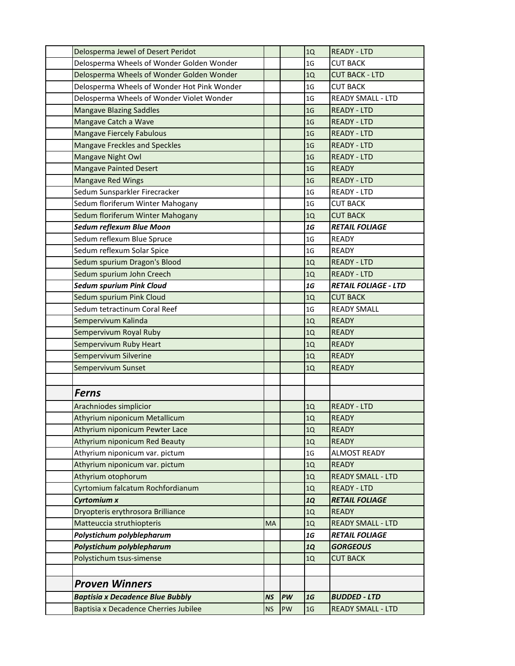| Delosperma Jewel of Desert Peridot          |           |    | 1Q             | <b>READY - LTD</b>          |
|---------------------------------------------|-----------|----|----------------|-----------------------------|
| Delosperma Wheels of Wonder Golden Wonder   |           |    | 1 <sub>G</sub> | <b>CUT BACK</b>             |
| Delosperma Wheels of Wonder Golden Wonder   |           |    | 1Q             | <b>CUT BACK - LTD</b>       |
| Delosperma Wheels of Wonder Hot Pink Wonder |           |    | 1G             | <b>CUT BACK</b>             |
| Delosperma Wheels of Wonder Violet Wonder   |           |    | 1 <sub>G</sub> | <b>READY SMALL - LTD</b>    |
| <b>Mangave Blazing Saddles</b>              |           |    | 1 <sub>G</sub> | <b>READY - LTD</b>          |
| Mangave Catch a Wave                        |           |    | 1 <sub>G</sub> | <b>READY - LTD</b>          |
| <b>Mangave Fiercely Fabulous</b>            |           |    | 1 <sub>G</sub> | <b>READY - LTD</b>          |
| <b>Mangave Freckles and Speckles</b>        |           |    | 1 <sub>G</sub> | <b>READY - LTD</b>          |
| Mangave Night Owl                           |           |    | 1 <sub>G</sub> | <b>READY - LTD</b>          |
| <b>Mangave Painted Desert</b>               |           |    | 1 <sub>G</sub> | <b>READY</b>                |
| <b>Mangave Red Wings</b>                    |           |    | 1 <sub>G</sub> | <b>READY - LTD</b>          |
| Sedum Sunsparkler Firecracker               |           |    | 1 <sub>G</sub> | READY - LTD                 |
| Sedum floriferum Winter Mahogany            |           |    | 1 <sub>G</sub> | <b>CUT BACK</b>             |
| Sedum floriferum Winter Mahogany            |           |    | 1Q             | <b>CUT BACK</b>             |
| Sedum reflexum Blue Moon                    |           |    | 1G             | <b>RETAIL FOLIAGE</b>       |
| Sedum reflexum Blue Spruce                  |           |    | 1 <sub>G</sub> | <b>READY</b>                |
| Sedum reflexum Solar Spice                  |           |    | 1 <sub>G</sub> | <b>READY</b>                |
| Sedum spurium Dragon's Blood                |           |    | 1Q             | <b>READY - LTD</b>          |
| Sedum spurium John Creech                   |           |    | 1Q             | <b>READY - LTD</b>          |
| <b>Sedum spurium Pink Cloud</b>             |           |    | 1G             | <b>RETAIL FOLIAGE - LTD</b> |
| Sedum spurium Pink Cloud                    |           |    | 1Q             | <b>CUT BACK</b>             |
| Sedum tetractinum Coral Reef                |           |    | 1 <sub>G</sub> | <b>READY SMALL</b>          |
| Sempervivum Kalinda                         |           |    | 1Q             | <b>READY</b>                |
| Sempervivum Royal Ruby                      |           |    | 1Q             | <b>READY</b>                |
| Sempervivum Ruby Heart                      |           |    | 1Q             | <b>READY</b>                |
| Sempervivum Silverine                       |           |    | 1Q             | <b>READY</b>                |
| Sempervivum Sunset                          |           |    | 1Q             | <b>READY</b>                |
|                                             |           |    |                |                             |
| <b>Ferns</b>                                |           |    |                |                             |
| Arachniodes simplicior                      |           |    | 1Q             | <b>READY - LTD</b>          |
| Athyrium niponicum Metallicum               |           |    | 1Q             | <b>READY</b>                |
| Athyrium niponicum Pewter Lace              |           |    | 1Q             | <b>READY</b>                |
| Athyrium niponicum Red Beauty               |           |    | $1Q$           | <b>READY</b>                |
| Athyrium niponicum var. pictum              |           |    | 1 <sub>G</sub> | <b>ALMOST READY</b>         |
| Athyrium niponicum var. pictum              |           |    | 1Q             | <b>READY</b>                |
| Athyrium otophorum                          |           |    | 1Q             | <b>READY SMALL - LTD</b>    |
| Cyrtomium falcatum Rochfordianum            |           |    | 1Q             | <b>READY - LTD</b>          |
| <b>Cyrtomium x</b>                          |           |    | <b>1Q</b>      | <b>RETAIL FOLIAGE</b>       |
| Dryopteris erythrosora Brilliance           |           |    | 1Q             | <b>READY</b>                |
| Matteuccia struthiopteris                   | <b>MA</b> |    | 1Q             | <b>READY SMALL - LTD</b>    |
| Polystichum polyblepharum                   |           |    | 1G             | <b>RETAIL FOLIAGE</b>       |
| Polystichum polyblepharum                   |           |    | <b>1Q</b>      | <b>GORGEOUS</b>             |
| Polystichum tsus-simense                    |           |    | 1Q             | <b>CUT BACK</b>             |
|                                             |           |    |                |                             |
|                                             |           |    |                |                             |
| <b>Proven Winners</b>                       |           |    |                |                             |
| <b>Baptisia x Decadence Blue Bubbly</b>     | <b>NS</b> | PW | 1G             | <b>BUDDED - LTD</b>         |
| Baptisia x Decadence Cherries Jubilee       | <b>NS</b> | PW | 1 <sub>G</sub> | <b>READY SMALL - LTD</b>    |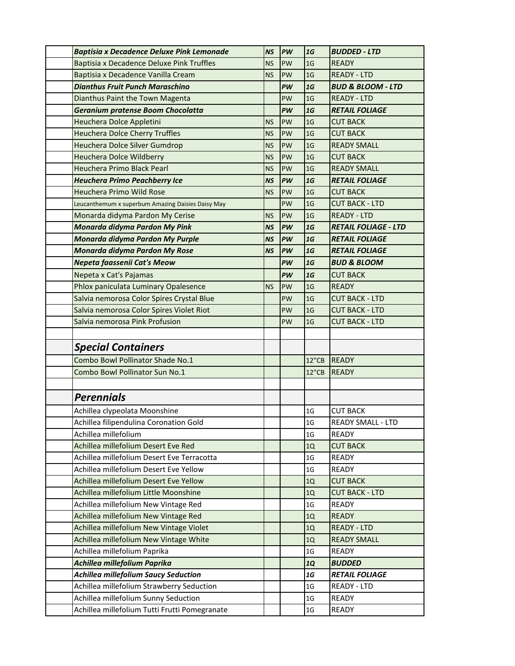| <b>Baptisia x Decadence Deluxe Pink Lemonade</b>  | <b>NS</b> | PW        | 1G             | <b>BUDDED - LTD</b>          |
|---------------------------------------------------|-----------|-----------|----------------|------------------------------|
| Baptisia x Decadence Deluxe Pink Truffles         | <b>NS</b> | PW        | 1 <sub>G</sub> | <b>READY</b>                 |
| Baptisia x Decadence Vanilla Cream                | <b>NS</b> | PW        | 1 <sub>G</sub> | <b>READY - LTD</b>           |
| <b>Dianthus Fruit Punch Maraschino</b>            |           | PW        | 1G             | <b>BUD &amp; BLOOM - LTD</b> |
| Dianthus Paint the Town Magenta                   |           | PW        | 1 <sub>G</sub> | <b>READY - LTD</b>           |
| Geranium pratense Boom Chocolatta                 |           | PW        | 1G             | <b>RETAIL FOLIAGE</b>        |
| Heuchera Dolce Appletini                          | <b>NS</b> | PW        | 1 <sub>G</sub> | <b>CUT BACK</b>              |
| <b>Heuchera Dolce Cherry Truffles</b>             | <b>NS</b> | PW        | 1 <sub>G</sub> | <b>CUT BACK</b>              |
| Heuchera Dolce Silver Gumdrop                     | <b>NS</b> | PW        | 1 <sub>G</sub> | <b>READY SMALL</b>           |
| <b>Heuchera Dolce Wildberry</b>                   | <b>NS</b> | PW        | 1 <sub>G</sub> | <b>CUT BACK</b>              |
| Heuchera Primo Black Pearl                        | <b>NS</b> | PW        | 1 <sub>G</sub> | <b>READY SMALL</b>           |
| <b>Heuchera Primo Peachberry Ice</b>              | <b>NS</b> | PW        | 1G             | <b>RETAIL FOLIAGE</b>        |
| Heuchera Primo Wild Rose                          | <b>NS</b> | PW        | 1 <sub>G</sub> | <b>CUT BACK</b>              |
| Leucanthemum x superbum Amazing Daisies Daisy May |           | PW        | 1 <sub>G</sub> | <b>CUT BACK - LTD</b>        |
| Monarda didyma Pardon My Cerise                   | <b>NS</b> | PW        | 1 <sub>G</sub> | <b>READY - LTD</b>           |
| Monarda didyma Pardon My Pink                     | <b>NS</b> | PW        | 1G             | <b>RETAIL FOLIAGE - LTD</b>  |
| Monarda didyma Pardon My Purple                   | <b>NS</b> | <b>PW</b> | 1G             | <b>RETAIL FOLIAGE</b>        |
| Monarda didyma Pardon My Rose                     | <b>NS</b> | PW        | 1G             | <b>RETAIL FOLIAGE</b>        |
| Nepeta faassenii Cat's Meow                       |           | PW        | 1G             | <b>BUD &amp; BLOOM</b>       |
| Nepeta x Cat's Pajamas                            |           | PW        | 1G             | <b>CUT BACK</b>              |
| Phlox paniculata Luminary Opalesence              | <b>NS</b> | PW        | 1 <sub>G</sub> | <b>READY</b>                 |
| Salvia nemorosa Color Spires Crystal Blue         |           | PW        | 1 <sub>G</sub> | <b>CUT BACK - LTD</b>        |
| Salvia nemorosa Color Spires Violet Riot          |           | PW        | 1 <sub>G</sub> | <b>CUT BACK - LTD</b>        |
| Salvia nemorosa Pink Profusion                    |           | PW        | 1 <sub>G</sub> | <b>CUT BACK - LTD</b>        |
|                                                   |           |           |                |                              |
| <b>Special Containers</b>                         |           |           |                |                              |
| Combo Bowl Pollinator Shade No.1                  |           |           | 12"CB          | <b>READY</b>                 |
| Combo Bowl Pollinator Sun No.1                    |           |           | 12"CB          | <b>READY</b>                 |
|                                                   |           |           |                |                              |
| <b>Perennials</b>                                 |           |           |                |                              |
| Achillea clypeolata Moonshine                     |           |           | 1 <sub>G</sub> | <b>CUT BACK</b>              |
| Achillea filipendulina Coronation Gold            |           |           | 1 <sub>G</sub> | <b>READY SMALL - LTD</b>     |
| Achillea millefolium                              |           |           | 1 <sub>G</sub> | READY                        |
| Achillea millefolium Desert Eve Red               |           |           | 1Q             | <b>CUT BACK</b>              |
| Achillea millefolium Desert Eve Terracotta        |           |           | 1 <sub>G</sub> | <b>READY</b>                 |
| Achillea millefolium Desert Eve Yellow            |           |           | 1 <sub>G</sub> | <b>READY</b>                 |
| Achillea millefolium Desert Eve Yellow            |           |           | 1Q             | <b>CUT BACK</b>              |
| Achillea millefolium Little Moonshine             |           |           | 1Q             | <b>CUT BACK - LTD</b>        |
| Achillea millefolium New Vintage Red              |           |           | 1 <sub>G</sub> | <b>READY</b>                 |
| Achillea millefolium New Vintage Red              |           |           | 1Q             | <b>READY</b>                 |
| Achillea millefolium New Vintage Violet           |           |           | 1Q             | <b>READY - LTD</b>           |
| Achillea millefolium New Vintage White            |           |           | 1Q             | <b>READY SMALL</b>           |
| Achillea millefolium Paprika                      |           |           | 1 <sub>G</sub> | READY                        |
| Achillea millefolium Paprika                      |           |           | <b>1Q</b>      | <b>BUDDED</b>                |
| <b>Achillea millefolium Saucy Seduction</b>       |           |           | $1G$           | <b>RETAIL FOLIAGE</b>        |
| Achillea millefolium Strawberry Seduction         |           |           | 1G             | <b>READY - LTD</b>           |
| Achillea millefolium Sunny Seduction              |           |           | $1\,\rm{G}$    | <b>READY</b>                 |
| Achillea millefolium Tutti Frutti Pomegranate     |           |           | $1\,\rm{G}$    | <b>READY</b>                 |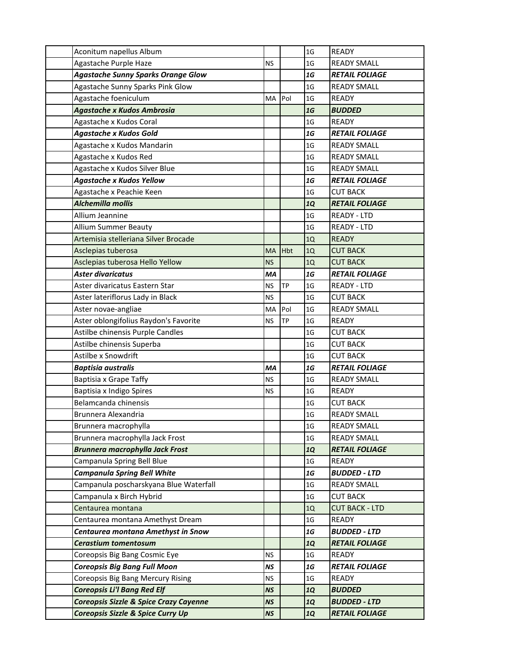| Aconitum napellus Album                   |           |            | 1 <sub>G</sub> | <b>READY</b>          |
|-------------------------------------------|-----------|------------|----------------|-----------------------|
| Agastache Purple Haze                     | <b>NS</b> |            | 1 <sub>G</sub> | <b>READY SMALL</b>    |
| <b>Agastache Sunny Sparks Orange Glow</b> |           |            | $1G$           | <b>RETAIL FOLIAGE</b> |
| Agastache Sunny Sparks Pink Glow          |           |            | 1G             | <b>READY SMALL</b>    |
| Agastache foeniculum                      | MA        | Pol        | 1 <sub>G</sub> | <b>READY</b>          |
| <b>Agastache x Kudos Ambrosia</b>         |           |            | 1G             | <b>BUDDED</b>         |
| Agastache x Kudos Coral                   |           |            | 1G             | <b>READY</b>          |
| <b>Agastache x Kudos Gold</b>             |           |            | 1G             | <b>RETAIL FOLIAGE</b> |
| Agastache x Kudos Mandarin                |           |            | 1 <sub>G</sub> | <b>READY SMALL</b>    |
| Agastache x Kudos Red                     |           |            | 1 <sub>G</sub> | <b>READY SMALL</b>    |
| Agastache x Kudos Silver Blue             |           |            | 1 <sub>G</sub> | <b>READY SMALL</b>    |
| <b>Agastache x Kudos Yellow</b>           |           |            | 1G             | <b>RETAIL FOLIAGE</b> |
| Agastache x Peachie Keen                  |           |            | 1 <sub>G</sub> | <b>CUT BACK</b>       |
| Alchemilla mollis                         |           |            | <b>1Q</b>      | <b>RETAIL FOLIAGE</b> |
| Allium Jeannine                           |           |            | 1 <sub>G</sub> | <b>READY - LTD</b>    |
| <b>Allium Summer Beauty</b>               |           |            | 1 <sub>G</sub> | <b>READY - LTD</b>    |
| Artemisia stelleriana Silver Brocade      |           |            | 1Q             | <b>READY</b>          |
| Asclepias tuberosa                        | <b>MA</b> | <b>Hbt</b> | 1Q             | <b>CUT BACK</b>       |
| Asclepias tuberosa Hello Yellow           | <b>NS</b> |            | 1Q             | <b>CUT BACK</b>       |
| Aster divaricatus                         | MA        |            | 1G             | <b>RETAIL FOLIAGE</b> |
| Aster divaricatus Eastern Star            | <b>NS</b> | <b>TP</b>  | 1 <sub>G</sub> | <b>READY - LTD</b>    |
| Aster lateriflorus Lady in Black          | <b>NS</b> |            | 1 <sub>G</sub> | <b>CUT BACK</b>       |
| Aster novae-angliae                       | MA        | Pol        | 1 <sub>G</sub> | <b>READY SMALL</b>    |
| Aster oblongifolius Raydon's Favorite     | <b>NS</b> | <b>TP</b>  | 1 <sub>G</sub> | <b>READY</b>          |
| Astilbe chinensis Purple Candles          |           |            | 1 <sub>G</sub> | <b>CUT BACK</b>       |
| Astilbe chinensis Superba                 |           |            | 1 <sub>G</sub> | <b>CUT BACK</b>       |
| Astilbe x Snowdrift                       |           |            | 1 <sub>G</sub> | <b>CUT BACK</b>       |
| <b>Baptisia australis</b>                 | MA        |            | 1G             | <b>RETAIL FOLIAGE</b> |
| Baptisia x Grape Taffy                    | <b>NS</b> |            | 1G             | <b>READY SMALL</b>    |
| Baptisia x Indigo Spires                  | <b>NS</b> |            | 1 <sub>G</sub> | <b>READY</b>          |
| Belamcanda chinensis                      |           |            | 1 <sub>G</sub> | <b>CUT BACK</b>       |
| Brunnera Alexandria                       |           |            | 1G             | <b>READY SMALL</b>    |
| Brunnera macrophylla                      |           |            | 1 <sub>G</sub> | <b>READY SMALL</b>    |
| Brunnera macrophylla Jack Frost           |           |            | 1 <sub>G</sub> | <b>READY SMALL</b>    |
| <b>Brunnera macrophylla Jack Frost</b>    |           |            | <b>1Q</b>      | <b>RETAIL FOLIAGE</b> |
| Campanula Spring Bell Blue                |           |            | 1 <sub>G</sub> | READY                 |
| <b>Campanula Spring Bell White</b>        |           |            | $1G$           | <b>BUDDED - LTD</b>   |
| Campanula poscharskyana Blue Waterfall    |           |            | 1 <sub>G</sub> | <b>READY SMALL</b>    |
| Campanula x Birch Hybrid                  |           |            | 1 <sub>G</sub> | <b>CUT BACK</b>       |
| Centaurea montana                         |           |            | 1Q             | <b>CUT BACK - LTD</b> |
| Centaurea montana Amethyst Dream          |           |            | 1G             | READY                 |
| Centaurea montana Amethyst in Snow        |           |            | ${\bf 1} G$    | <b>BUDDED - LTD</b>   |
| <b>Cerastium tomentosum</b>               |           |            | <b>1Q</b>      | <b>RETAIL FOLIAGE</b> |
| Coreopsis Big Bang Cosmic Eye             | <b>NS</b> |            | 1 <sub>G</sub> | READY                 |
| <b>Coreopsis Big Bang Full Moon</b>       | <b>NS</b> |            | 1G             | <b>RETAIL FOLIAGE</b> |
| Coreopsis Big Bang Mercury Rising         | ΝS        |            | 1 <sub>G</sub> | READY                 |
| <b>Coreopsis Li'l Bang Red Elf</b>        | <b>NS</b> |            | <b>1Q</b>      | <b>BUDDED</b>         |
| Coreopsis Sizzle & Spice Crazy Cayenne    | <b>NS</b> |            | <b>1Q</b>      | <b>BUDDED - LTD</b>   |
| Coreopsis Sizzle & Spice Curry Up         | <b>NS</b> |            | 1Q             | <b>RETAIL FOLIAGE</b> |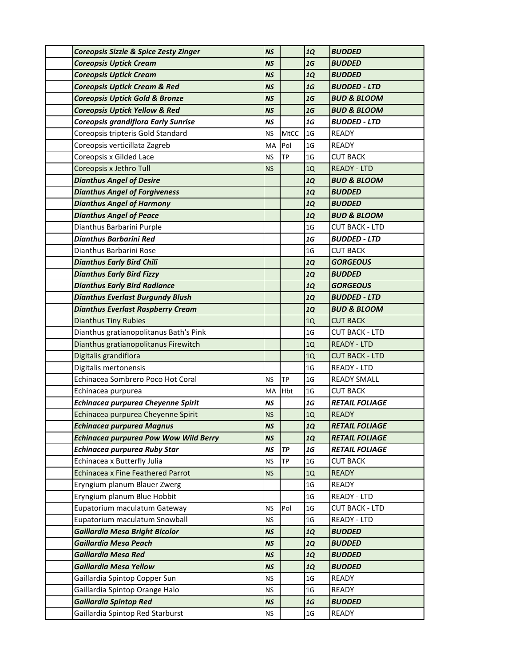| Coreopsis Sizzle & Spice Zesty Zinger        | <b>NS</b> |           | <b>1Q</b>      | <b>BUDDED</b>          |
|----------------------------------------------|-----------|-----------|----------------|------------------------|
| <b>Coreopsis Uptick Cream</b>                | <b>NS</b> |           | 1G             | <b>BUDDED</b>          |
| <b>Coreopsis Uptick Cream</b>                | <b>NS</b> |           | <b>1Q</b>      | <b>BUDDED</b>          |
| <b>Coreopsis Uptick Cream &amp; Red</b>      | NS        |           | 1G             | <b>BUDDED - LTD</b>    |
| <b>Coreopsis Uptick Gold &amp; Bronze</b>    | <b>NS</b> |           | 1G             | <b>BUD &amp; BLOOM</b> |
| <b>Coreopsis Uptick Yellow &amp; Red</b>     | <b>NS</b> |           | 1G             | <b>BUD &amp; BLOOM</b> |
| Coreopsis grandiflora Early Sunrise          | <b>NS</b> |           | 1G             | <b>BUDDED - LTD</b>    |
| Coreopsis tripteris Gold Standard            | <b>NS</b> | MtCC      | 1 <sub>G</sub> | <b>READY</b>           |
| Coreopsis verticillata Zagreb                | MA        | Pol       | 1 <sub>G</sub> | <b>READY</b>           |
| Coreopsis x Gilded Lace                      | <b>NS</b> | <b>TP</b> | 1G             | <b>CUT BACK</b>        |
| Coreopsis x Jethro Tull                      | <b>NS</b> |           | 1Q             | <b>READY - LTD</b>     |
| <b>Dianthus Angel of Desire</b>              |           |           | <b>1Q</b>      | <b>BUD &amp; BLOOM</b> |
| <b>Dianthus Angel of Forgiveness</b>         |           |           | <b>1Q</b>      | <b>BUDDED</b>          |
| <b>Dianthus Angel of Harmony</b>             |           |           | <b>1Q</b>      | <b>BUDDED</b>          |
| <b>Dianthus Angel of Peace</b>               |           |           | <b>1Q</b>      | <b>BUD &amp; BLOOM</b> |
| Dianthus Barbarini Purple                    |           |           | 1 <sub>G</sub> | <b>CUT BACK - LTD</b>  |
| Dianthus Barbarini Red                       |           |           | 1G             | <b>BUDDED - LTD</b>    |
| Dianthus Barbarini Rose                      |           |           | 1 <sub>G</sub> | <b>CUT BACK</b>        |
| <b>Dianthus Early Bird Chili</b>             |           |           | <b>1Q</b>      | <b>GORGEOUS</b>        |
| <b>Dianthus Early Bird Fizzy</b>             |           |           | <b>1Q</b>      | <b>BUDDED</b>          |
| <b>Dianthus Early Bird Radiance</b>          |           |           | <b>1Q</b>      | <b>GORGEOUS</b>        |
| <b>Dianthus Everlast Burgundy Blush</b>      |           |           | <b>1Q</b>      | <b>BUDDED - LTD</b>    |
| <b>Dianthus Everlast Raspberry Cream</b>     |           |           | <b>1Q</b>      | <b>BUD &amp; BLOOM</b> |
| <b>Dianthus Tiny Rubies</b>                  |           |           | 1Q             | <b>CUT BACK</b>        |
| Dianthus gratianopolitanus Bath's Pink       |           |           | 1 <sub>G</sub> | <b>CUT BACK - LTD</b>  |
| Dianthus gratianopolitanus Firewitch         |           |           | 1Q             | <b>READY - LTD</b>     |
| Digitalis grandiflora                        |           |           | 1Q             | <b>CUT BACK - LTD</b>  |
| Digitalis mertonensis                        |           |           | 1 <sub>G</sub> | READY - LTD            |
| Echinacea Sombrero Poco Hot Coral            | <b>NS</b> | TP        | 1 <sub>G</sub> | <b>READY SMALL</b>     |
| Echinacea purpurea                           | MA        | Hbt       | 1 <sub>G</sub> | <b>CUT BACK</b>        |
| Echinacea purpurea Cheyenne Spirit           | <b>NS</b> |           | $1G$           | <b>RETAIL FOLIAGE</b>  |
| Echinacea purpurea Cheyenne Spirit           | <b>NS</b> |           | $1Q$           | <b>READY</b>           |
| <b>Echinacea purpurea Magnus</b>             | <b>NS</b> |           | <b>1Q</b>      | <b>RETAIL FOLIAGE</b>  |
| <b>Echinacea purpurea Pow Wow Wild Berry</b> | <b>NS</b> |           | <b>1Q</b>      | <b>RETAIL FOLIAGE</b>  |
| <b>Echinacea purpurea Ruby Star</b>          | <b>NS</b> | TP        | ${\bf 16}$     | <b>RETAIL FOLIAGE</b>  |
| Echinacea x Butterfly Julia                  | <b>NS</b> | TP        | 1 <sub>G</sub> | <b>CUT BACK</b>        |
| <b>Echinacea x Fine Feathered Parrot</b>     | <b>NS</b> |           | 1Q             | <b>READY</b>           |
| Eryngium planum Blauer Zwerg                 |           |           | 1G             | <b>READY</b>           |
| Eryngium planum Blue Hobbit                  |           |           | 1 <sub>G</sub> | READY - LTD            |
| Eupatorium maculatum Gateway                 | <b>NS</b> | Pol       | 1 <sub>G</sub> | <b>CUT BACK - LTD</b>  |
| Eupatorium maculatum Snowball                | <b>NS</b> |           | 1 <sub>G</sub> | READY - LTD            |
| <b>Gaillardia Mesa Bright Bicolor</b>        | <b>NS</b> |           | <b>1Q</b>      | <b>BUDDED</b>          |
| <b>Gaillardia Mesa Peach</b>                 | <b>NS</b> |           | <b>1Q</b>      | <b>BUDDED</b>          |
| <b>Gaillardia Mesa Red</b>                   | <b>NS</b> |           | <b>1Q</b>      | <b>BUDDED</b>          |
| <b>Gaillardia Mesa Yellow</b>                | <b>NS</b> |           | <b>1Q</b>      | <b>BUDDED</b>          |
| Gaillardia Spintop Copper Sun                | <b>NS</b> |           | 1G             | <b>READY</b>           |
| Gaillardia Spintop Orange Halo               | <b>NS</b> |           | 1 <sub>G</sub> | <b>READY</b>           |
| <b>Gaillardia Spintop Red</b>                | <b>NS</b> |           | 1G             | <b>BUDDED</b>          |
| Gaillardia Spintop Red Starburst             | <b>NS</b> |           | $1\mathsf{G}$  | <b>READY</b>           |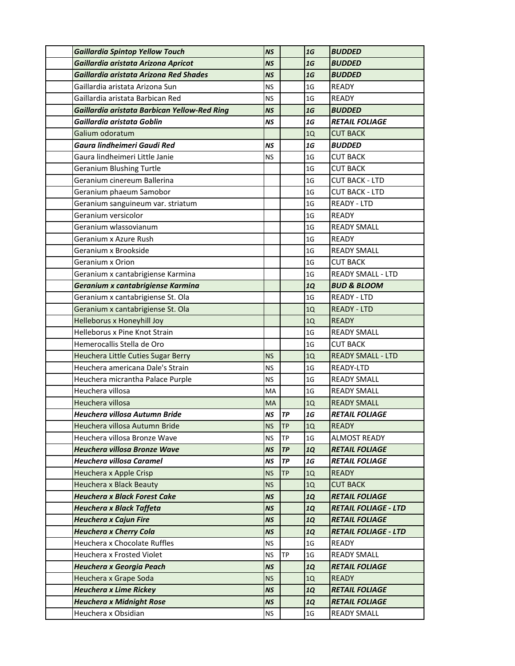| <b>Gaillardia Spintop Yellow Touch</b>       | <b>NS</b> |           | 1G             | <b>BUDDED</b>               |
|----------------------------------------------|-----------|-----------|----------------|-----------------------------|
| Gaillardia aristata Arizona Apricot          | <b>NS</b> |           | 1G             | <b>BUDDED</b>               |
| Gaillardia aristata Arizona Red Shades       | <b>NS</b> |           | 1G             | <b>BUDDED</b>               |
| Gaillardia aristata Arizona Sun              | ΝS        |           | 1G             | <b>READY</b>                |
| Gaillardia aristata Barbican Red             | <b>NS</b> |           | 1 <sub>G</sub> | <b>READY</b>                |
| Gaillardia aristata Barbican Yellow-Red Ring | <b>NS</b> |           | 1G             | <b>BUDDED</b>               |
| Gaillardia aristata Goblin                   | NS        |           | 1G             | <b>RETAIL FOLIAGE</b>       |
| Galium odoratum                              |           |           | 1Q             | <b>CUT BACK</b>             |
| Gaura lindheimeri Gaudi Red                  | NS        |           | $1G$           | <b>BUDDED</b>               |
| Gaura lindheimeri Little Janie               | <b>NS</b> |           | 1 <sub>G</sub> | <b>CUT BACK</b>             |
| <b>Geranium Blushing Turtle</b>              |           |           | 1 <sub>G</sub> | <b>CUT BACK</b>             |
| Geranium cinereum Ballerina                  |           |           | 1 <sub>G</sub> | <b>CUT BACK - LTD</b>       |
| Geranium phaeum Samobor                      |           |           | 1 <sub>G</sub> | <b>CUT BACK - LTD</b>       |
| Geranium sanguineum var. striatum            |           |           | 1 <sub>G</sub> | <b>READY - LTD</b>          |
| Geranium versicolor                          |           |           | 1 <sub>G</sub> | <b>READY</b>                |
| Geranium wlassovianum                        |           |           | 1 <sub>G</sub> | <b>READY SMALL</b>          |
| Geranium x Azure Rush                        |           |           | 1 <sub>G</sub> | <b>READY</b>                |
| Geranium x Brookside                         |           |           | 1 <sub>G</sub> | <b>READY SMALL</b>          |
| Geranium x Orion                             |           |           | 1 <sub>G</sub> | <b>CUT BACK</b>             |
| Geranium x cantabrigiense Karmina            |           |           | 1 <sub>G</sub> | <b>READY SMALL - LTD</b>    |
| Geranium x cantabrigiense Karmina            |           |           | <b>1Q</b>      | <b>BUD &amp; BLOOM</b>      |
| Geranium x cantabrigiense St. Ola            |           |           | 1 <sub>G</sub> | <b>READY - LTD</b>          |
| Geranium x cantabrigiense St. Ola            |           |           | 1Q             | <b>READY - LTD</b>          |
| Helleborus x Honeyhill Joy                   |           |           | 1Q             | <b>READY</b>                |
| Helleborus x Pine Knot Strain                |           |           | 1 <sub>G</sub> | <b>READY SMALL</b>          |
| Hemerocallis Stella de Oro                   |           |           | 1 <sub>G</sub> | <b>CUT BACK</b>             |
| Heuchera Little Cuties Sugar Berry           | <b>NS</b> |           | 1Q             | <b>READY SMALL - LTD</b>    |
| Heuchera americana Dale's Strain             | <b>NS</b> |           | 1 <sub>G</sub> | READY-LTD                   |
| Heuchera micrantha Palace Purple             | <b>NS</b> |           | 1 <sub>G</sub> | <b>READY SMALL</b>          |
| Heuchera villosa                             | MA        |           | 1 <sub>G</sub> | <b>READY SMALL</b>          |
| Heuchera villosa                             | <b>MA</b> |           | 1Q             | <b>READY SMALL</b>          |
| Heuchera villosa Autumn Bride                | <b>NS</b> | <b>TP</b> | 1G             | <b>RETAIL FOLIAGE</b>       |
| Heuchera villosa Autumn Bride                | <b>NS</b> | <b>TP</b> | 1Q             | <b>READY</b>                |
| Heuchera villosa Bronze Wave                 | <b>NS</b> | <b>TP</b> | 1 <sub>G</sub> | <b>ALMOST READY</b>         |
| <b>Heuchera villosa Bronze Wave</b>          | NS        | TP        | <b>1Q</b>      | <b>RETAIL FOLIAGE</b>       |
| Heuchera villosa Caramel                     | <b>NS</b> | TP        | $1G$           | <b>RETAIL FOLIAGE</b>       |
| Heuchera x Apple Crisp                       | <b>NS</b> | <b>TP</b> | 1Q             | <b>READY</b>                |
| Heuchera x Black Beauty                      | <b>NS</b> |           | 1Q             | <b>CUT BACK</b>             |
| <b>Heuchera x Black Forest Cake</b>          | <b>NS</b> |           | <b>1Q</b>      | <b>RETAIL FOLIAGE</b>       |
| <b>Heuchera x Black Taffeta</b>              | <b>NS</b> |           | <b>1Q</b>      | <b>RETAIL FOLIAGE - LTD</b> |
| <b>Heuchera x Cajun Fire</b>                 | <b>NS</b> |           | <b>1Q</b>      | <b>RETAIL FOLIAGE</b>       |
| <b>Heuchera x Cherry Cola</b>                | <b>NS</b> |           | <b>1Q</b>      | <b>RETAIL FOLIAGE - LTD</b> |
| Heuchera x Chocolate Ruffles                 | <b>NS</b> |           | 1 <sub>G</sub> | READY                       |
| Heuchera x Frosted Violet                    | <b>NS</b> | TP        | 1 <sub>G</sub> | <b>READY SMALL</b>          |
| Heuchera x Georgia Peach                     | <b>NS</b> |           | <b>1Q</b>      | <b>RETAIL FOLIAGE</b>       |
| Heuchera x Grape Soda                        | <b>NS</b> |           | 1Q             | <b>READY</b>                |
| <b>Heuchera x Lime Rickey</b>                | <b>NS</b> |           | <b>1Q</b>      | <b>RETAIL FOLIAGE</b>       |
| <b>Heuchera x Midnight Rose</b>              | <b>NS</b> |           | <b>1Q</b>      | <b>RETAIL FOLIAGE</b>       |
| Heuchera x Obsidian                          | <b>NS</b> |           | 1G             | <b>READY SMALL</b>          |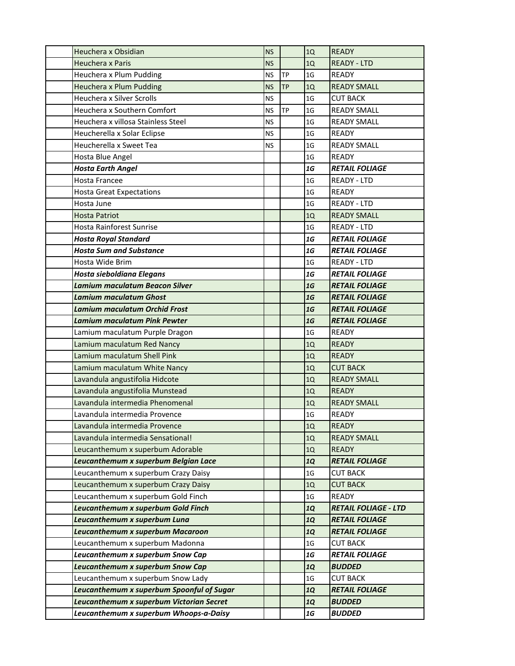| Heuchera x Obsidian                       | <b>NS</b> |           | 1Q             | <b>READY</b>                |
|-------------------------------------------|-----------|-----------|----------------|-----------------------------|
| Heuchera x Paris                          | <b>NS</b> |           | 1Q             | <b>READY - LTD</b>          |
| Heuchera x Plum Pudding                   | <b>NS</b> | <b>TP</b> | 1 <sub>G</sub> | <b>READY</b>                |
| Heuchera x Plum Pudding                   | <b>NS</b> | <b>TP</b> | 1Q             | <b>READY SMALL</b>          |
| <b>Heuchera x Silver Scrolls</b>          | <b>NS</b> |           | 1 <sub>G</sub> | <b>CUT BACK</b>             |
| Heuchera x Southern Comfort               | <b>NS</b> | <b>TP</b> | 1 <sub>G</sub> | <b>READY SMALL</b>          |
| Heuchera x villosa Stainless Steel        | <b>NS</b> |           | 1 <sub>G</sub> | <b>READY SMALL</b>          |
| Heucherella x Solar Eclipse               | <b>NS</b> |           | 1 <sub>G</sub> | <b>READY</b>                |
| Heucherella x Sweet Tea                   | <b>NS</b> |           | 1 <sub>G</sub> | <b>READY SMALL</b>          |
| Hosta Blue Angel                          |           |           | 1 <sub>G</sub> | <b>READY</b>                |
| <b>Hosta Earth Angel</b>                  |           |           | <b>1G</b>      | <b>RETAIL FOLIAGE</b>       |
| <b>Hosta Francee</b>                      |           |           | 1 <sub>G</sub> | <b>READY - LTD</b>          |
| <b>Hosta Great Expectations</b>           |           |           | 1 <sub>G</sub> | <b>READY</b>                |
| Hosta June                                |           |           | 1 <sub>G</sub> | <b>READY - LTD</b>          |
| <b>Hosta Patriot</b>                      |           |           | 1Q             | <b>READY SMALL</b>          |
| Hosta Rainforest Sunrise                  |           |           | 1 <sub>G</sub> | READY - LTD                 |
| <b>Hosta Royal Standard</b>               |           |           | 1G             | <b>RETAIL FOLIAGE</b>       |
| <b>Hosta Sum and Substance</b>            |           |           | 1G             | <b>RETAIL FOLIAGE</b>       |
| Hosta Wide Brim                           |           |           | 1 <sub>G</sub> | <b>READY - LTD</b>          |
| Hosta sieboldiana Elegans                 |           |           | 1G             | <b>RETAIL FOLIAGE</b>       |
| <b>Lamium maculatum Beacon Silver</b>     |           |           | 1G             | <b>RETAIL FOLIAGE</b>       |
| <b>Lamium maculatum Ghost</b>             |           |           | 1G             | <b>RETAIL FOLIAGE</b>       |
| <b>Lamium maculatum Orchid Frost</b>      |           |           | 1G             | <b>RETAIL FOLIAGE</b>       |
| <b>Lamium maculatum Pink Pewter</b>       |           |           | 1G             | <b>RETAIL FOLIAGE</b>       |
| Lamium maculatum Purple Dragon            |           |           | 1G             | <b>READY</b>                |
| Lamium maculatum Red Nancy                |           |           | 1Q             | <b>READY</b>                |
| Lamium maculatum Shell Pink               |           |           | 1Q             | <b>READY</b>                |
| Lamium maculatum White Nancy              |           |           | 1Q             | <b>CUT BACK</b>             |
| Lavandula angustifolia Hidcote            |           |           | 1Q             | <b>READY SMALL</b>          |
| Lavandula angustifolia Munstead           |           |           | 1Q             | <b>READY</b>                |
| Lavandula intermedia Phenomenal           |           |           | 1Q             | <b>READY SMALL</b>          |
| Lavandula intermedia Provence             |           |           | 1G             | <b>READY</b>                |
| Lavandula intermedia Provence             |           |           | 1Q             | <b>READY</b>                |
| Lavandula intermedia Sensational!         |           |           | 1Q             | <b>READY SMALL</b>          |
| Leucanthemum x superbum Adorable          |           |           | 1Q             | <b>READY</b>                |
| Leucanthemum x superbum Belgian Lace      |           |           | <b>1Q</b>      | <b>RETAIL FOLIAGE</b>       |
| Leucanthemum x superbum Crazy Daisy       |           |           | 1 <sub>G</sub> | <b>CUT BACK</b>             |
| Leucanthemum x superbum Crazy Daisy       |           |           | 1Q             | <b>CUT BACK</b>             |
| Leucanthemum x superbum Gold Finch        |           |           | 1 <sub>G</sub> | <b>READY</b>                |
| Leucanthemum x superbum Gold Finch        |           |           | <b>1Q</b>      | <b>RETAIL FOLIAGE - LTD</b> |
| Leucanthemum x superbum Luna              |           |           | <b>1Q</b>      | <b>RETAIL FOLIAGE</b>       |
| Leucanthemum x superbum Macaroon          |           |           | <b>1Q</b>      | <b>RETAIL FOLIAGE</b>       |
| Leucanthemum x superbum Madonna           |           |           | 1 <sub>G</sub> | <b>CUT BACK</b>             |
| Leucanthemum x superbum Snow Cap          |           |           | 1G             | <b>RETAIL FOLIAGE</b>       |
| Leucanthemum x superbum Snow Cap          |           |           | <b>1Q</b>      | <b>BUDDED</b>               |
| Leucanthemum x superbum Snow Lady         |           |           | 1 <sub>G</sub> | <b>CUT BACK</b>             |
| Leucanthemum x superbum Spoonful of Sugar |           |           | <b>1Q</b>      | <b>RETAIL FOLIAGE</b>       |
| Leucanthemum x superbum Victorian Secret  |           |           | <b>1Q</b>      | <b>BUDDED</b>               |
| Leucanthemum x superbum Whoops-a-Daisy    |           |           | 1G             | <b>BUDDED</b>               |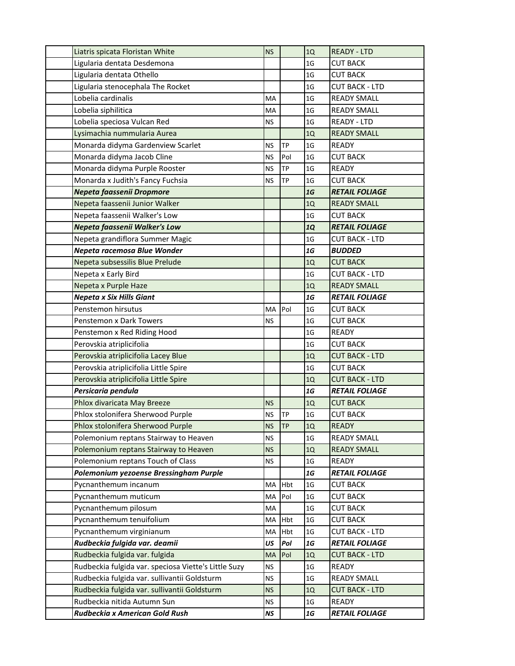| Liatris spicata Floristan White                      | <b>NS</b> |           | 1Q             | <b>READY - LTD</b>    |
|------------------------------------------------------|-----------|-----------|----------------|-----------------------|
| Ligularia dentata Desdemona                          |           |           | 1 <sub>G</sub> | <b>CUT BACK</b>       |
| Ligularia dentata Othello                            |           |           | 1 <sub>G</sub> | <b>CUT BACK</b>       |
| Ligularia stenocephala The Rocket                    |           |           | 1G             | <b>CUT BACK - LTD</b> |
| Lobelia cardinalis                                   | MA        |           | 1G             | <b>READY SMALL</b>    |
| Lobelia siphilitica                                  | MA        |           | 1 <sub>G</sub> | <b>READY SMALL</b>    |
| Lobelia speciosa Vulcan Red                          | <b>NS</b> |           | 1 <sub>G</sub> | <b>READY - LTD</b>    |
| Lysimachia nummularia Aurea                          |           |           | 1Q             | <b>READY SMALL</b>    |
| Monarda didyma Gardenview Scarlet                    | <b>NS</b> | <b>TP</b> | 1 <sub>G</sub> | <b>READY</b>          |
| Monarda didyma Jacob Cline                           | <b>NS</b> | Pol       | 1 <sub>G</sub> | <b>CUT BACK</b>       |
| Monarda didyma Purple Rooster                        | <b>NS</b> | ТP        | 1 <sub>G</sub> | <b>READY</b>          |
| Monarda x Judith's Fancy Fuchsia                     | <b>NS</b> | <b>TP</b> | 1 <sub>G</sub> | <b>CUT BACK</b>       |
| Nepeta faassenii Dropmore                            |           |           | 1G             | <b>RETAIL FOLIAGE</b> |
| Nepeta faassenii Junior Walker                       |           |           | 1Q             | <b>READY SMALL</b>    |
| Nepeta faassenii Walker's Low                        |           |           | 1 <sub>G</sub> | <b>CUT BACK</b>       |
| Nepeta faassenii Walker's Low                        |           |           | <b>1Q</b>      | <b>RETAIL FOLIAGE</b> |
| Nepeta grandiflora Summer Magic                      |           |           | 1 <sub>G</sub> | <b>CUT BACK - LTD</b> |
| Nepeta racemosa Blue Wonder                          |           |           | 1G             | <b>BUDDED</b>         |
| Nepeta subsessilis Blue Prelude                      |           |           | 1Q             | <b>CUT BACK</b>       |
| Nepeta x Early Bird                                  |           |           | 1 <sub>G</sub> | <b>CUT BACK - LTD</b> |
| Nepeta x Purple Haze                                 |           |           | 1Q             | <b>READY SMALL</b>    |
| <b>Nepeta x Six Hills Giant</b>                      |           |           | 1G             | <b>RETAIL FOLIAGE</b> |
| Penstemon hirsutus                                   | МA        | Pol       | 1 <sub>G</sub> | <b>CUT BACK</b>       |
| Penstemon x Dark Towers                              | <b>NS</b> |           | 1G             | <b>CUT BACK</b>       |
| Penstemon x Red Riding Hood                          |           |           | 1 <sub>G</sub> | <b>READY</b>          |
| Perovskia atriplicifolia                             |           |           | 1 <sub>G</sub> | <b>CUT BACK</b>       |
| Perovskia atriplicifolia Lacey Blue                  |           |           | 1Q             | <b>CUT BACK - LTD</b> |
| Perovskia atriplicifolia Little Spire                |           |           | 1 <sub>G</sub> | <b>CUT BACK</b>       |
| Perovskia atriplicifolia Little Spire                |           |           | 1Q             | <b>CUT BACK - LTD</b> |
| Persicaria pendula                                   |           |           | 1G             | <b>RETAIL FOLIAGE</b> |
| Phlox divaricata May Breeze                          | <b>NS</b> |           | 1Q             | <b>CUT BACK</b>       |
| Phlox stolonifera Sherwood Purple                    | <b>NS</b> | ТP        | 1 <sub>G</sub> | <b>CUT BACK</b>       |
| Phlox stolonifera Sherwood Purple                    | <b>NS</b> | <b>TP</b> | 1Q             | <b>READY</b>          |
| Polemonium reptans Stairway to Heaven                | <b>NS</b> |           | 1 <sub>G</sub> | <b>READY SMALL</b>    |
| Polemonium reptans Stairway to Heaven                | <b>NS</b> |           | $1Q$           | <b>READY SMALL</b>    |
| Polemonium reptans Touch of Class                    | <b>NS</b> |           | 1G             | <b>READY</b>          |
| Polemonium yezoense Bressingham Purple               |           |           | 1G             | <b>RETAIL FOLIAGE</b> |
| Pycnanthemum incanum                                 | MA        | Hbt       | 1 <sub>G</sub> | <b>CUT BACK</b>       |
| Pycnanthemum muticum                                 | MA        | Pol       | 1G             | <b>CUT BACK</b>       |
| Pycnanthemum pilosum                                 | MA        |           | 1 <sub>G</sub> | <b>CUT BACK</b>       |
| Pycnanthemum tenuifolium                             | MA        | Hbt       | 1G             | <b>CUT BACK</b>       |
| Pycnanthemum virginianum                             | MA        | Hbt       | 1G             | <b>CUT BACK - LTD</b> |
| Rudbeckia fulgida var. deamii                        | US        | Pol       | ${\bf 16}$     | <b>RETAIL FOLIAGE</b> |
| Rudbeckia fulgida var. fulgida                       | <b>MA</b> | Pol       | 1Q             | <b>CUT BACK - LTD</b> |
| Rudbeckia fulgida var. speciosa Viette's Little Suzy | <b>NS</b> |           | 1G             | <b>READY</b>          |
| Rudbeckia fulgida var. sullivantii Goldsturm         | <b>NS</b> |           | 1G             | <b>READY SMALL</b>    |
| Rudbeckia fulgida var. sullivantii Goldsturm         | <b>NS</b> |           | 1Q             | <b>CUT BACK - LTD</b> |
| Rudbeckia nitida Autumn Sun                          | ΝS        |           | 1G             | <b>READY</b>          |
| Rudbeckia x American Gold Rush                       | NS        |           | $1\mathsf{G}$  | <b>RETAIL FOLIAGE</b> |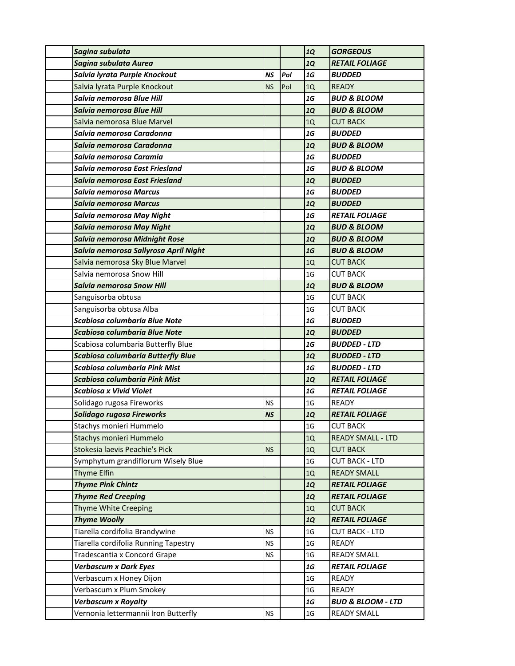| Sagina subulata                           |           |     | 1Q             | <b>GORGEOUS</b>              |
|-------------------------------------------|-----------|-----|----------------|------------------------------|
| Sagina subulata Aurea                     |           |     | <b>1Q</b>      | <b>RETAIL FOLIAGE</b>        |
| Salvia lyrata Purple Knockout             | <b>NS</b> | Pol | 1G             | <b>BUDDED</b>                |
| Salvia lyrata Purple Knockout             | <b>NS</b> | Pol | 1Q             | <b>READY</b>                 |
| Salvia nemorosa Blue Hill                 |           |     | 1G             | <b>BUD &amp; BLOOM</b>       |
| Salvia nemorosa Blue Hill                 |           |     | <b>1Q</b>      | <b>BUD &amp; BLOOM</b>       |
| Salvia nemorosa Blue Marvel               |           |     | 1Q             | <b>CUT BACK</b>              |
| Salvia nemorosa Caradonna                 |           |     | 1G             | <b>BUDDED</b>                |
| Salvia nemorosa Caradonna                 |           |     | <b>1Q</b>      | <b>BUD &amp; BLOOM</b>       |
| Salvia nemorosa Caramia                   |           |     | 1G             | <b>BUDDED</b>                |
| Salvia nemorosa East Friesland            |           |     | 1G             | <b>BUD &amp; BLOOM</b>       |
| Salvia nemorosa East Friesland            |           |     | <b>1Q</b>      | <b>BUDDED</b>                |
| Salvia nemorosa Marcus                    |           |     | 1G             | <b>BUDDED</b>                |
| <b>Salvia nemorosa Marcus</b>             |           |     | <b>1Q</b>      | <b>BUDDED</b>                |
| Salvia nemorosa May Night                 |           |     | 1G             | <b>RETAIL FOLIAGE</b>        |
| <b>Salvia nemorosa May Night</b>          |           |     | <b>1Q</b>      | <b>BUD &amp; BLOOM</b>       |
| Salvia nemorosa Midnight Rose             |           |     | <b>1Q</b>      | <b>BUD &amp; BLOOM</b>       |
| Salvia nemorosa Sallyrosa April Night     |           |     | 1G             | <b>BUD &amp; BLOOM</b>       |
| Salvia nemorosa Sky Blue Marvel           |           |     | 1Q             | <b>CUT BACK</b>              |
| Salvia nemorosa Snow Hill                 |           |     | 1 <sub>G</sub> | <b>CUT BACK</b>              |
| <b>Salvia nemorosa Snow Hill</b>          |           |     | <b>1Q</b>      | <b>BUD &amp; BLOOM</b>       |
| Sanguisorba obtusa                        |           |     | 1 <sub>G</sub> | <b>CUT BACK</b>              |
| Sanguisorba obtusa Alba                   |           |     | 1 <sub>G</sub> | <b>CUT BACK</b>              |
| Scabiosa columbaria Blue Note             |           |     | 1G             | <b>BUDDED</b>                |
| <b>Scabiosa columbaria Blue Note</b>      |           |     | <b>1Q</b>      | <b>BUDDED</b>                |
| Scabiosa columbaria Butterfly Blue        |           |     | 1G             | <b>BUDDED - LTD</b>          |
| <b>Scabiosa columbaria Butterfly Blue</b> |           |     | <b>1Q</b>      | <b>BUDDED - LTD</b>          |
| Scabiosa columbaria Pink Mist             |           |     | 1G             | <b>BUDDED - LTD</b>          |
| Scabiosa columbaria Pink Mist             |           |     | <b>1Q</b>      | <b>RETAIL FOLIAGE</b>        |
| <b>Scabiosa x Vivid Violet</b>            |           |     | 1G             | <b>RETAIL FOLIAGE</b>        |
| Solidago rugosa Fireworks                 | <b>NS</b> |     | 1 <sub>G</sub> | <b>READY</b>                 |
| Solidago rugosa Fireworks                 | <b>NS</b> |     | <b>1Q</b>      | <b>RETAIL FOLIAGE</b>        |
| Stachys monieri Hummelo                   |           |     | 1 <sub>G</sub> | <b>CUT BACK</b>              |
| Stachys monieri Hummelo                   |           |     | 1Q             | <b>READY SMALL - LTD</b>     |
| Stokesia laevis Peachie's Pick            | <b>NS</b> |     | 1Q             | <b>CUT BACK</b>              |
| Symphytum grandiflorum Wisely Blue        |           |     | 1 <sub>G</sub> | <b>CUT BACK - LTD</b>        |
| Thyme Elfin                               |           |     | 1Q             | <b>READY SMALL</b>           |
| <b>Thyme Pink Chintz</b>                  |           |     | <b>1Q</b>      | <b>RETAIL FOLIAGE</b>        |
| <b>Thyme Red Creeping</b>                 |           |     | <b>1Q</b>      | <b>RETAIL FOLIAGE</b>        |
| Thyme White Creeping                      |           |     | 1Q             | <b>CUT BACK</b>              |
| <b>Thyme Woolly</b>                       |           |     | <b>1Q</b>      | <b>RETAIL FOLIAGE</b>        |
| Tiarella cordifolia Brandywine            | <b>NS</b> |     | 1 <sub>G</sub> | <b>CUT BACK - LTD</b>        |
| Tiarella cordifolia Running Tapestry      | <b>NS</b> |     | 1 <sub>G</sub> | <b>READY</b>                 |
| Tradescantia x Concord Grape              | <b>NS</b> |     | 1 <sub>G</sub> | <b>READY SMALL</b>           |
| <b>Verbascum x Dark Eyes</b>              |           |     | 1G             | <b>RETAIL FOLIAGE</b>        |
| Verbascum x Honey Dijon                   |           |     | 1 <sub>G</sub> | <b>READY</b>                 |
| Verbascum x Plum Smokey                   |           |     | 1 <sub>G</sub> | <b>READY</b>                 |
| <b>Verbascum x Royalty</b>                |           |     | $1\,$          | <b>BUD &amp; BLOOM - LTD</b> |
| Vernonia lettermannii Iron Butterfly      | <b>NS</b> |     | 1 <sub>G</sub> | <b>READY SMALL</b>           |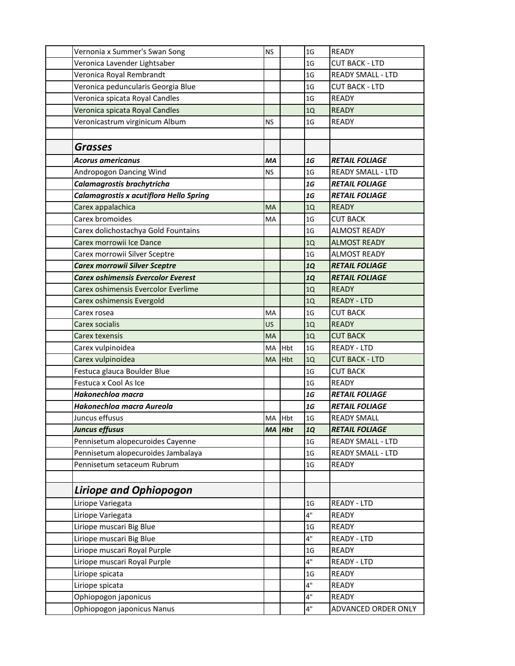| Vernonia x Summer's Swan Song             | <b>NS</b> |            | 1G             | <b>READY</b>             |
|-------------------------------------------|-----------|------------|----------------|--------------------------|
| Veronica Lavender Lightsaber              |           |            | 1G             | <b>CUT BACK - LTD</b>    |
| Veronica Royal Rembrandt                  |           |            | 1 <sub>G</sub> | <b>READY SMALL - LTD</b> |
| Veronica peduncularis Georgia Blue        |           |            | 1 <sub>G</sub> | <b>CUT BACK - LTD</b>    |
| Veronica spicata Royal Candles            |           |            | 1G             | <b>READY</b>             |
| Veronica spicata Royal Candles            |           |            | 1Q             | <b>READY</b>             |
| Veronicastrum virginicum Album            | <b>NS</b> |            | 1 <sub>G</sub> | <b>READY</b>             |
|                                           |           |            |                |                          |
| <b>Grasses</b>                            |           |            |                |                          |
| <b>Acorus americanus</b>                  | MA        |            | 1G             | <b>RETAIL FOLIAGE</b>    |
| Andropogon Dancing Wind                   | <b>NS</b> |            | 1 <sub>G</sub> | <b>READY SMALL - LTD</b> |
| Calamagrostis brachytricha                |           |            | 1G             | <b>RETAIL FOLIAGE</b>    |
| Calamagrostis x acutiflora Hello Spring   |           |            | 1G             | <b>RETAIL FOLIAGE</b>    |
| Carex appalachica                         | <b>MA</b> |            | 1Q             | <b>READY</b>             |
| Carex bromoides                           | MA        |            | 1 <sub>G</sub> | <b>CUT BACK</b>          |
| Carex dolichostachya Gold Fountains       |           |            | 1 <sub>G</sub> | <b>ALMOST READY</b>      |
| Carex morrowii Ice Dance                  |           |            | 1Q             | <b>ALMOST READY</b>      |
| Carex morrowii Silver Sceptre             |           |            | 1 <sub>G</sub> | <b>ALMOST READY</b>      |
| <b>Carex morrowii Silver Sceptre</b>      |           |            | <b>1Q</b>      | <b>RETAIL FOLIAGE</b>    |
| <b>Carex oshimensis Evercolor Everest</b> |           |            | <b>1Q</b>      | <b>RETAIL FOLIAGE</b>    |
| Carex oshimensis Evercolor Everlime       |           |            | 1Q             | <b>READY</b>             |
| Carex oshimensis Evergold                 |           |            | 1Q             | <b>READY - LTD</b>       |
| Carex rosea                               | MA        |            | 1 <sub>G</sub> | <b>CUT BACK</b>          |
| Carex socialis                            | US        |            | 1Q             | <b>READY</b>             |
| <b>Carex texensis</b>                     | <b>MA</b> |            | 1Q             | <b>CUT BACK</b>          |
| Carex vulpinoidea                         | MA        | Hbt        | 1 <sub>G</sub> | <b>READY - LTD</b>       |
| Carex vulpinoidea                         | MA        | Hbt        | 1Q             | <b>CUT BACK - LTD</b>    |
| Festuca glauca Boulder Blue               |           |            | 1 <sub>G</sub> | <b>CUT BACK</b>          |
| Festuca x Cool As Ice                     |           |            | 1 <sub>G</sub> | <b>READY</b>             |
| Hakonechloa macra                         |           |            | 1G             | <b>RETAIL FOLIAGE</b>    |
| Hakonechloa macra Aureola                 |           |            | 1G             | <b>RETAIL FOLIAGE</b>    |
| Juncus effusus                            | MA Hbt    |            | 1 <sub>G</sub> | <b>READY SMALL</b>       |
| <b>Juncus effusus</b>                     | <b>MA</b> | <b>Hbt</b> | <b>1Q</b>      | <b>RETAIL FOLIAGE</b>    |
| Pennisetum alopecuroides Cayenne          |           |            | 1 <sub>G</sub> | <b>READY SMALL - LTD</b> |
| Pennisetum alopecuroides Jambalaya        |           |            | 1 <sub>G</sub> | <b>READY SMALL - LTD</b> |
| Pennisetum setaceum Rubrum                |           |            | 1 <sub>G</sub> | <b>READY</b>             |
|                                           |           |            |                |                          |
| <b>Liriope and Ophiopogon</b>             |           |            |                |                          |
| Liriope Variegata                         |           |            | 1 <sub>G</sub> | READY - LTD              |
| Liriope Variegata                         |           |            | 4"             | <b>READY</b>             |
| Liriope muscari Big Blue                  |           |            | 1 <sub>G</sub> | READY                    |
| Liriope muscari Big Blue                  |           |            | 4"             | <b>READY - LTD</b>       |
| Liriope muscari Royal Purple              |           |            | 1G             | <b>READY</b>             |
| Liriope muscari Royal Purple              |           |            | 4"             | READY - LTD              |
| Liriope spicata                           |           |            | 1 <sub>G</sub> | <b>READY</b>             |
| Liriope spicata                           |           |            | 4"             | <b>READY</b>             |
| Ophiopogon japonicus                      |           |            | 4"             | READY                    |
| Ophiopogon japonicus Nanus                |           |            | 4"             | ADVANCED ORDER ONLY      |
|                                           |           |            |                |                          |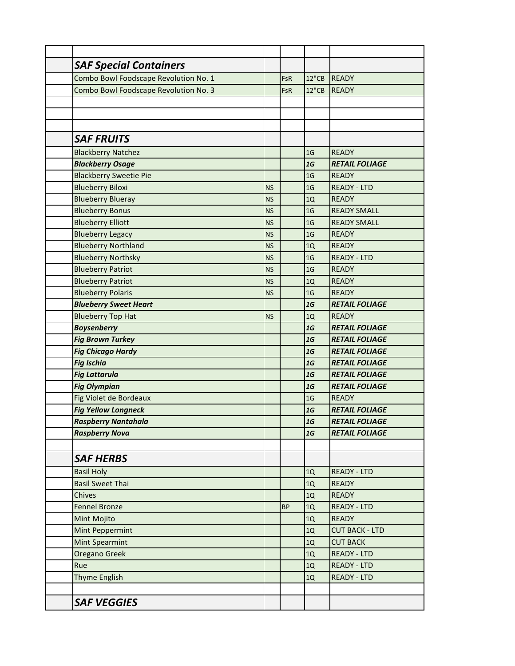| <b>SAF Special Containers</b>         |           |           |                |                       |
|---------------------------------------|-----------|-----------|----------------|-----------------------|
| Combo Bowl Foodscape Revolution No. 1 |           | FsR       | 12"CB          | <b>READY</b>          |
| Combo Bowl Foodscape Revolution No. 3 |           | FsR       | 12"CB          | <b>READY</b>          |
|                                       |           |           |                |                       |
|                                       |           |           |                |                       |
|                                       |           |           |                |                       |
| <b>SAF FRUITS</b>                     |           |           |                |                       |
| <b>Blackberry Natchez</b>             |           |           | 1 <sub>G</sub> | <b>READY</b>          |
| <b>Blackberry Osage</b>               |           |           | 1G             | <b>RETAIL FOLIAGE</b> |
| <b>Blackberry Sweetie Pie</b>         |           |           | 1 <sub>G</sub> | <b>READY</b>          |
| <b>Blueberry Biloxi</b>               | <b>NS</b> |           | 1 <sub>G</sub> | <b>READY - LTD</b>    |
| <b>Blueberry Blueray</b>              | <b>NS</b> |           | 1Q             | <b>READY</b>          |
| <b>Blueberry Bonus</b>                | <b>NS</b> |           | 1 <sub>G</sub> | <b>READY SMALL</b>    |
| <b>Blueberry Elliott</b>              | <b>NS</b> |           | 1 <sub>G</sub> | <b>READY SMALL</b>    |
| <b>Blueberry Legacy</b>               | <b>NS</b> |           | 1 <sub>G</sub> | <b>READY</b>          |
| <b>Blueberry Northland</b>            | <b>NS</b> |           | 1Q             | <b>READY</b>          |
| <b>Blueberry Northsky</b>             | <b>NS</b> |           | 1 <sub>G</sub> | <b>READY - LTD</b>    |
| <b>Blueberry Patriot</b>              | <b>NS</b> |           | 1 <sub>G</sub> | <b>READY</b>          |
| <b>Blueberry Patriot</b>              | <b>NS</b> |           | 1Q             | <b>READY</b>          |
| <b>Blueberry Polaris</b>              | <b>NS</b> |           | 1 <sub>G</sub> | <b>READY</b>          |
| <b>Blueberry Sweet Heart</b>          |           |           | 1G             | <b>RETAIL FOLIAGE</b> |
| <b>Blueberry Top Hat</b>              | <b>NS</b> |           | 1Q             | <b>READY</b>          |
| <b>Boysenberry</b>                    |           |           | 1G             | <b>RETAIL FOLIAGE</b> |
| <b>Fig Brown Turkey</b>               |           |           | 1G             | <b>RETAIL FOLIAGE</b> |
| <b>Fig Chicago Hardy</b>              |           |           | 1G             | <b>RETAIL FOLIAGE</b> |
| <b>Fig Ischia</b>                     |           |           | 1G             | <b>RETAIL FOLIAGE</b> |
| <b>Fig Lattarula</b>                  |           |           | 1G             | <b>RETAIL FOLIAGE</b> |
| <b>Fig Olympian</b>                   |           |           | 1G             | <b>RETAIL FOLIAGE</b> |
| Fig Violet de Bordeaux                |           |           | 1 <sub>G</sub> | <b>READY</b>          |
| <b>Fig Yellow Longneck</b>            |           |           | 1G             | <b>RETAIL FOLIAGE</b> |
| <b>Raspberry Nantahala</b>            |           |           | 1G             | <b>RETAIL FOLIAGE</b> |
| <b>Raspberry Nova</b>                 |           |           | 1G             | <b>RETAIL FOLIAGE</b> |
|                                       |           |           |                |                       |
| <b>SAF HERBS</b>                      |           |           |                |                       |
| <b>Basil Holy</b>                     |           |           | 1Q             | <b>READY - LTD</b>    |
| <b>Basil Sweet Thai</b>               |           |           | 1Q             | <b>READY</b>          |
| Chives                                |           |           | 1Q             | <b>READY</b>          |
| <b>Fennel Bronze</b>                  |           | <b>BP</b> | $1Q$           | <b>READY - LTD</b>    |
| Mint Mojito                           |           |           | 1Q             | <b>READY</b>          |
| Mint Peppermint                       |           |           | 1Q             | <b>CUT BACK - LTD</b> |
| <b>Mint Spearmint</b>                 |           |           | $1Q$           | <b>CUT BACK</b>       |
| Oregano Greek                         |           |           | 1Q             | <b>READY - LTD</b>    |
| Rue                                   |           |           | 1Q             | <b>READY - LTD</b>    |
| Thyme English                         |           |           | 1Q             | <b>READY - LTD</b>    |
|                                       |           |           |                |                       |
| <b>SAF VEGGIES</b>                    |           |           |                |                       |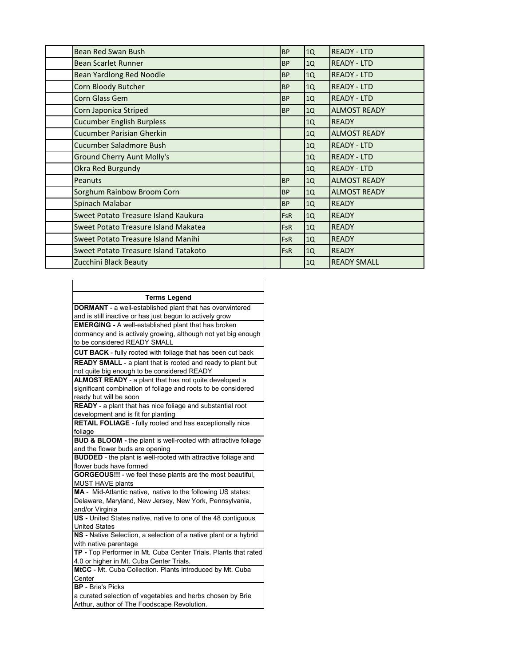| Bean Red Swan Bush                    | <b>BP</b>  | 1Q | <b>READY - LTD</b>  |
|---------------------------------------|------------|----|---------------------|
| <b>Bean Scarlet Runner</b>            | <b>BP</b>  | 1Q | <b>READY - LTD</b>  |
| <b>Bean Yardlong Red Noodle</b>       | <b>BP</b>  | 1Q | <b>READY - LTD</b>  |
| Corn Bloody Butcher                   | <b>BP</b>  | 1Q | <b>READY - LTD</b>  |
| Corn Glass Gem                        | <b>BP</b>  | 1Q | <b>READY - LTD</b>  |
| Corn Japonica Striped                 | <b>BP</b>  | 1Q | <b>ALMOST READY</b> |
| <b>Cucumber English Burpless</b>      |            | 1Q | <b>READY</b>        |
| <b>Cucumber Parisian Gherkin</b>      |            | 1Q | <b>ALMOST READY</b> |
| Cucumber Saladmore Bush               |            | 1Q | <b>READY - LTD</b>  |
| <b>Ground Cherry Aunt Molly's</b>     |            | 1Q | <b>READY - LTD</b>  |
| Okra Red Burgundy                     |            | 1Q | <b>READY - LTD</b>  |
| Peanuts                               | <b>BP</b>  | 1Q | <b>ALMOST READY</b> |
| Sorghum Rainbow Broom Corn            | <b>BP</b>  | 1Q | <b>ALMOST READY</b> |
| Spinach Malabar                       | <b>BP</b>  | 1Q | <b>READY</b>        |
| Sweet Potato Treasure Island Kaukura  | <b>FsR</b> | 1Q | <b>READY</b>        |
| Sweet Potato Treasure Island Makatea  | <b>FsR</b> | 1Q | <b>READY</b>        |
| Sweet Potato Treasure Island Manihi   | <b>FsR</b> | 1Q | <b>READY</b>        |
| Sweet Potato Treasure Island Tatakoto | <b>FsR</b> | 1Q | <b>READY</b>        |
| Zucchini Black Beauty                 |            | 1Q | <b>READY SMALL</b>  |

| <b>Terms Legend</b> |                                                                                          |
|---------------------|------------------------------------------------------------------------------------------|
|                     | <b>DORMANT</b> - a well-established plant that has overwintered                          |
|                     | and is still inactive or has just begun to actively grow                                 |
|                     | <b>EMERGING - A well-established plant that has broken</b>                               |
|                     | dormancy and is actively growing, although not yet big enough                            |
|                     | to be considered READY SMALL                                                             |
|                     | CUT BACK - fully rooted with foliage that has been cut back                              |
|                     | <b>READY SMALL</b> - a plant that is rooted and ready to plant but                       |
|                     | not quite big enough to be considered READY                                              |
|                     | ALMOST READY - a plant that has not quite developed a                                    |
|                     | significant combination of foliage and roots to be considered                            |
|                     | ready but will be soon                                                                   |
|                     | READY - a plant that has nice foliage and substantial root                               |
|                     | development and is fit for planting                                                      |
|                     | <b>RETAIL FOLIAGE</b> - fully rooted and has exceptionally nice                          |
| foliage             |                                                                                          |
|                     | BUD & BLOOM - the plant is well-rooted with attractive foliage                           |
|                     | and the flower buds are opening                                                          |
|                     | <b>BUDDED</b> - the plant is well-rooted with attractive foliage and                     |
|                     | flower buds have formed                                                                  |
|                     | <b>GORGEOUS!!!</b> - we feel these plants are the most beautiful,                        |
|                     | <b>MUST HAVE plants</b>                                                                  |
|                     | MA - Mid-Atlantic native, native to the following US states:                             |
|                     | Delaware, Maryland, New Jersey, New York, Pennsylvania,                                  |
|                     | and/or Virginia                                                                          |
|                     | US - United States native, native to one of the 48 contiquous                            |
|                     | <b>United States</b><br>NS - Native Selection, a selection of a native plant or a hybrid |
|                     |                                                                                          |
|                     | with native parentage<br>TP - Top Performer in Mt. Cuba Center Trials. Plants that rated |
|                     | 4.0 or higher in Mt. Cuba Center Trials.                                                 |
|                     | MtCC - Mt. Cuba Collection. Plants introduced by Mt. Cuba                                |
| Center              |                                                                                          |
|                     | <b>BP</b> - Brie's Picks                                                                 |
|                     | a curated selection of vegetables and herbs chosen by Brie                               |
|                     | Arthur, author of The Foodscape Revolution.                                              |